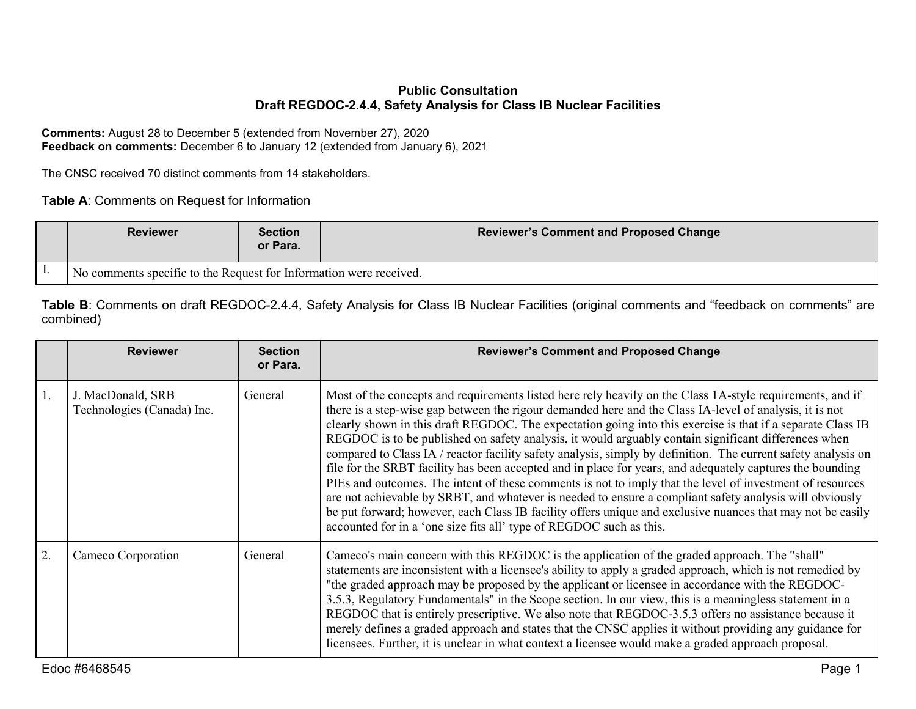## **Public Consultation Draft REGDOC-2.4.4, Safety Analysis for Class IB Nuclear Facilities**

**Comments:** August 28 to December 5 (extended from November 27), 2020 **Feedback on comments:** December 6 to January 12 (extended from January 6), 2021

The CNSC received 70 distinct comments from 14 stakeholders.

**Table A**: Comments on Request for Information

| <b>Reviewer</b>                                                    | <b>Section</b><br>or Para. | <b>Reviewer's Comment and Proposed Change</b> |
|--------------------------------------------------------------------|----------------------------|-----------------------------------------------|
| No comments specific to the Request for Information were received. |                            |                                               |

**Table B**: Comments on draft REGDOC-2.4.4, Safety Analysis for Class IB Nuclear Facilities (original comments and "feedback on comments" are combined)

|    | <b>Reviewer</b>                                 | <b>Section</b><br>or Para. | <b>Reviewer's Comment and Proposed Change</b>                                                                                                                                                                                                                                                                                                                                                                                                                                                                                                                                                                                                                                                                                                                                                                                                                                                                                                                                                                                                                                          |
|----|-------------------------------------------------|----------------------------|----------------------------------------------------------------------------------------------------------------------------------------------------------------------------------------------------------------------------------------------------------------------------------------------------------------------------------------------------------------------------------------------------------------------------------------------------------------------------------------------------------------------------------------------------------------------------------------------------------------------------------------------------------------------------------------------------------------------------------------------------------------------------------------------------------------------------------------------------------------------------------------------------------------------------------------------------------------------------------------------------------------------------------------------------------------------------------------|
| 1. | J. MacDonald, SRB<br>Technologies (Canada) Inc. | General                    | Most of the concepts and requirements listed here rely heavily on the Class 1A-style requirements, and if<br>there is a step-wise gap between the rigour demanded here and the Class IA-level of analysis, it is not<br>clearly shown in this draft REGDOC. The expectation going into this exercise is that if a separate Class IB<br>REGDOC is to be published on safety analysis, it would arguably contain significant differences when<br>compared to Class IA / reactor facility safety analysis, simply by definition. The current safety analysis on<br>file for the SRBT facility has been accepted and in place for years, and adequately captures the bounding<br>PIEs and outcomes. The intent of these comments is not to imply that the level of investment of resources<br>are not achievable by SRBT, and whatever is needed to ensure a compliant safety analysis will obviously<br>be put forward; however, each Class IB facility offers unique and exclusive nuances that may not be easily<br>accounted for in a 'one size fits all' type of REGDOC such as this. |
| 2. | Cameco Corporation                              | General                    | Cameco's main concern with this REGDOC is the application of the graded approach. The "shall"<br>statements are inconsistent with a licensee's ability to apply a graded approach, which is not remedied by<br>"the graded approach may be proposed by the applicant or licensee in accordance with the REGDOC-<br>3.5.3, Regulatory Fundamentals" in the Scope section. In our view, this is a meaningless statement in a<br>REGDOC that is entirely prescriptive. We also note that REGDOC-3.5.3 offers no assistance because it<br>merely defines a graded approach and states that the CNSC applies it without providing any guidance for<br>licensees. Further, it is unclear in what context a licensee would make a graded approach proposal.                                                                                                                                                                                                                                                                                                                                   |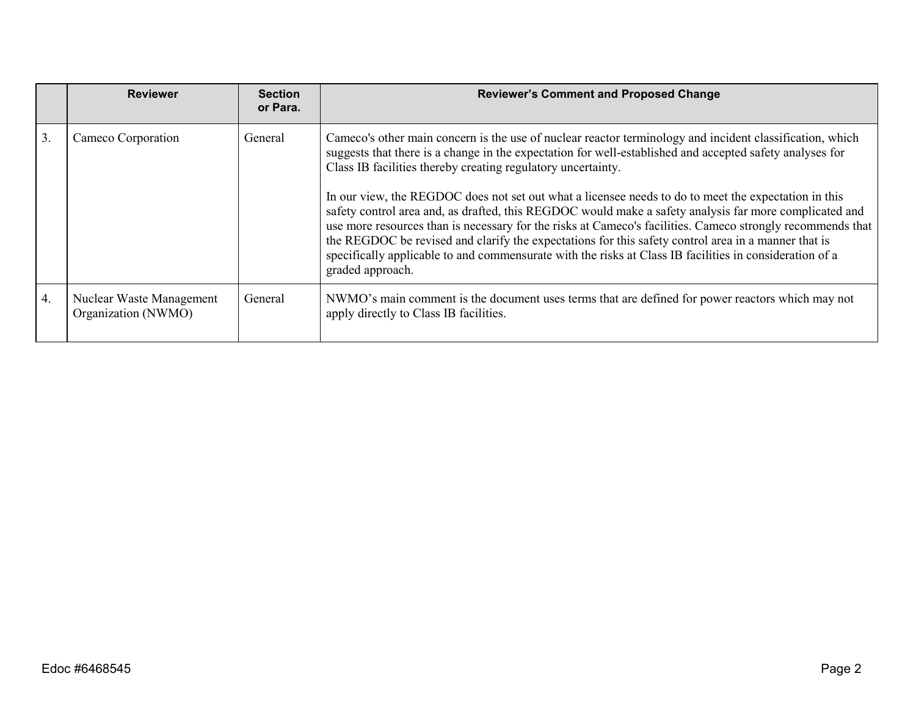|    | <b>Reviewer</b>                                 | <b>Section</b><br>or Para. | <b>Reviewer's Comment and Proposed Change</b>                                                                                                                                                                                                                                                                                                                                                                                                                                                                                                                      |
|----|-------------------------------------------------|----------------------------|--------------------------------------------------------------------------------------------------------------------------------------------------------------------------------------------------------------------------------------------------------------------------------------------------------------------------------------------------------------------------------------------------------------------------------------------------------------------------------------------------------------------------------------------------------------------|
| 3. | Cameco Corporation                              | General                    | Cameco's other main concern is the use of nuclear reactor terminology and incident classification, which<br>suggests that there is a change in the expectation for well-established and accepted safety analyses for<br>Class IB facilities thereby creating regulatory uncertainty.                                                                                                                                                                                                                                                                               |
|    |                                                 |                            | In our view, the REGDOC does not set out what a licensee needs to do to meet the expectation in this<br>safety control area and, as drafted, this REGDOC would make a safety analysis far more complicated and<br>use more resources than is necessary for the risks at Cameco's facilities. Cameco strongly recommends that<br>the REGDOC be revised and clarify the expectations for this safety control area in a manner that is<br>specifically applicable to and commensurate with the risks at Class IB facilities in consideration of a<br>graded approach. |
| 4. | Nuclear Waste Management<br>Organization (NWMO) | General                    | NWMO's main comment is the document uses terms that are defined for power reactors which may not<br>apply directly to Class IB facilities.                                                                                                                                                                                                                                                                                                                                                                                                                         |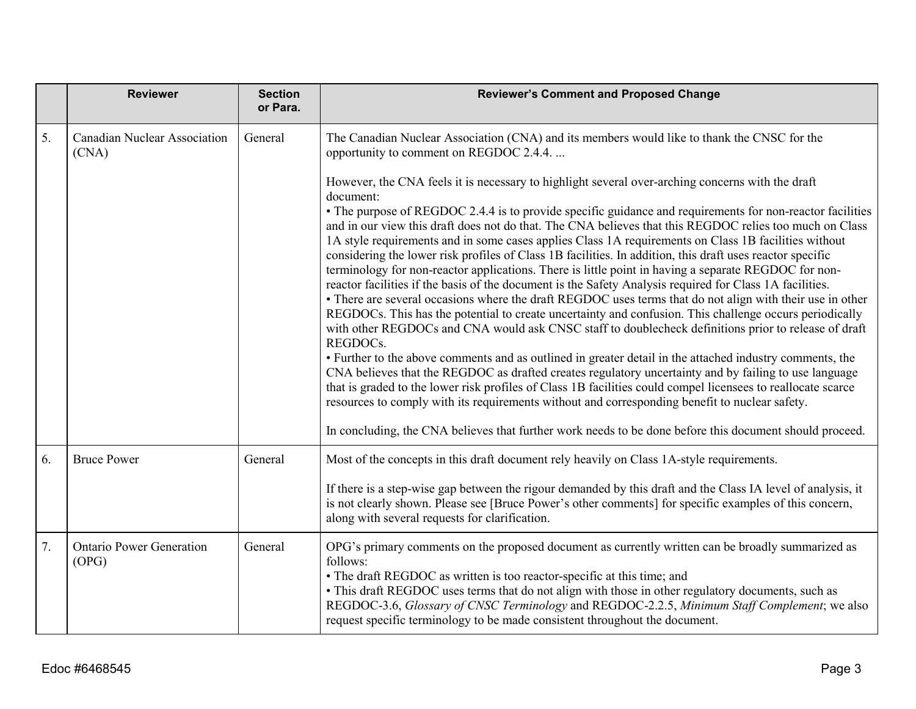|    | <b>Reviewer</b>                              | <b>Section</b><br>or Para. | <b>Reviewer's Comment and Proposed Change</b>                                                                                                                                                                                                                                                                                                                                                                                                                                                                                                                                                                                                                                                                                                                                                                                                                                                                                                                                                                                                                                                                                                                                                                                                                                                                                                                                                                                                                                                                                                                                                                                                                                |
|----|----------------------------------------------|----------------------------|------------------------------------------------------------------------------------------------------------------------------------------------------------------------------------------------------------------------------------------------------------------------------------------------------------------------------------------------------------------------------------------------------------------------------------------------------------------------------------------------------------------------------------------------------------------------------------------------------------------------------------------------------------------------------------------------------------------------------------------------------------------------------------------------------------------------------------------------------------------------------------------------------------------------------------------------------------------------------------------------------------------------------------------------------------------------------------------------------------------------------------------------------------------------------------------------------------------------------------------------------------------------------------------------------------------------------------------------------------------------------------------------------------------------------------------------------------------------------------------------------------------------------------------------------------------------------------------------------------------------------------------------------------------------------|
| 5. | <b>Canadian Nuclear Association</b><br>(CNA) | General                    | The Canadian Nuclear Association (CNA) and its members would like to thank the CNSC for the<br>opportunity to comment on REGDOC 2.4.4.                                                                                                                                                                                                                                                                                                                                                                                                                                                                                                                                                                                                                                                                                                                                                                                                                                                                                                                                                                                                                                                                                                                                                                                                                                                                                                                                                                                                                                                                                                                                       |
|    |                                              |                            | However, the CNA feels it is necessary to highlight several over-arching concerns with the draft<br>document:<br>• The purpose of REGDOC 2.4.4 is to provide specific guidance and requirements for non-reactor facilities<br>and in our view this draft does not do that. The CNA believes that this REGDOC relies too much on Class<br>1A style requirements and in some cases applies Class 1A requirements on Class 1B facilities without<br>considering the lower risk profiles of Class 1B facilities. In addition, this draft uses reactor specific<br>terminology for non-reactor applications. There is little point in having a separate REGDOC for non-<br>reactor facilities if the basis of the document is the Safety Analysis required for Class 1A facilities.<br>• There are several occasions where the draft REGDOC uses terms that do not align with their use in other<br>REGDOCs. This has the potential to create uncertainty and confusion. This challenge occurs periodically<br>with other REGDOCs and CNA would ask CNSC staff to doublecheck definitions prior to release of draft<br>REGDOCs.<br>• Further to the above comments and as outlined in greater detail in the attached industry comments, the<br>CNA believes that the REGDOC as drafted creates regulatory uncertainty and by failing to use language<br>that is graded to the lower risk profiles of Class 1B facilities could compel licensees to reallocate scarce<br>resources to comply with its requirements without and corresponding benefit to nuclear safety.<br>In concluding, the CNA believes that further work needs to be done before this document should proceed. |
| 6. | <b>Bruce Power</b>                           | General                    | Most of the concepts in this draft document rely heavily on Class 1A-style requirements.                                                                                                                                                                                                                                                                                                                                                                                                                                                                                                                                                                                                                                                                                                                                                                                                                                                                                                                                                                                                                                                                                                                                                                                                                                                                                                                                                                                                                                                                                                                                                                                     |
|    |                                              |                            | If there is a step-wise gap between the rigour demanded by this draft and the Class IA level of analysis, it<br>is not clearly shown. Please see [Bruce Power's other comments] for specific examples of this concern,<br>along with several requests for clarification.                                                                                                                                                                                                                                                                                                                                                                                                                                                                                                                                                                                                                                                                                                                                                                                                                                                                                                                                                                                                                                                                                                                                                                                                                                                                                                                                                                                                     |
| 7. | <b>Ontario Power Generation</b><br>(OPG)     | General                    | OPG's primary comments on the proposed document as currently written can be broadly summarized as<br>follows:<br>• The draft REGDOC as written is too reactor-specific at this time; and<br>• This draft REGDOC uses terms that do not align with those in other regulatory documents, such as<br>REGDOC-3.6, Glossary of CNSC Terminology and REGDOC-2.2.5, Minimum Staff Complement; we also<br>request specific terminology to be made consistent throughout the document.                                                                                                                                                                                                                                                                                                                                                                                                                                                                                                                                                                                                                                                                                                                                                                                                                                                                                                                                                                                                                                                                                                                                                                                                |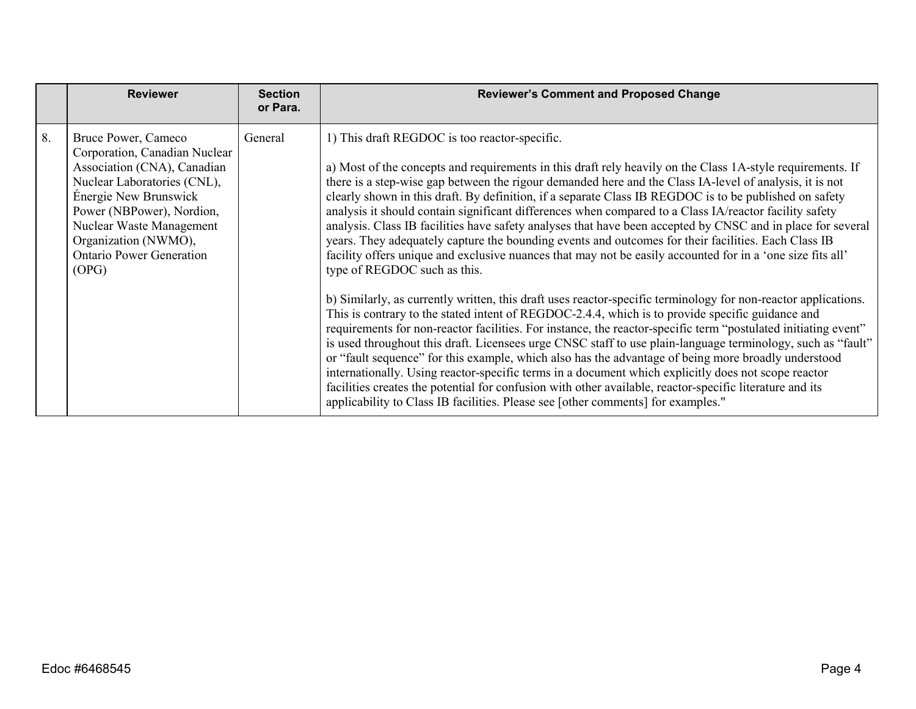|    | <b>Reviewer</b>                                                                                                                                                                                                                                                          | <b>Section</b><br>or Para. | <b>Reviewer's Comment and Proposed Change</b>                                                                                                                                                                                                                                                                                                                                                                                                                                                                                                                                                                                                                                                                                                                                                                                                                                                                                                                                                                                                                                                                                                                                                                                                                                                                                                                                                                                                                                                                                                                                                                                                                                                                                       |
|----|--------------------------------------------------------------------------------------------------------------------------------------------------------------------------------------------------------------------------------------------------------------------------|----------------------------|-------------------------------------------------------------------------------------------------------------------------------------------------------------------------------------------------------------------------------------------------------------------------------------------------------------------------------------------------------------------------------------------------------------------------------------------------------------------------------------------------------------------------------------------------------------------------------------------------------------------------------------------------------------------------------------------------------------------------------------------------------------------------------------------------------------------------------------------------------------------------------------------------------------------------------------------------------------------------------------------------------------------------------------------------------------------------------------------------------------------------------------------------------------------------------------------------------------------------------------------------------------------------------------------------------------------------------------------------------------------------------------------------------------------------------------------------------------------------------------------------------------------------------------------------------------------------------------------------------------------------------------------------------------------------------------------------------------------------------------|
| 8. | Bruce Power, Cameco<br>Corporation, Canadian Nuclear<br>Association (CNA), Canadian<br>Nuclear Laboratories (CNL),<br>Énergie New Brunswick<br>Power (NBPower), Nordion,<br>Nuclear Waste Management<br>Organization (NWMO),<br><b>Ontario Power Generation</b><br>(OPG) | General                    | 1) This draft REGDOC is too reactor-specific.<br>a) Most of the concepts and requirements in this draft rely heavily on the Class 1A-style requirements. If<br>there is a step-wise gap between the rigour demanded here and the Class IA-level of analysis, it is not<br>clearly shown in this draft. By definition, if a separate Class IB REGDOC is to be published on safety<br>analysis it should contain significant differences when compared to a Class IA/reactor facility safety<br>analysis. Class IB facilities have safety analyses that have been accepted by CNSC and in place for several<br>years. They adequately capture the bounding events and outcomes for their facilities. Each Class IB<br>facility offers unique and exclusive nuances that may not be easily accounted for in a 'one size fits all'<br>type of REGDOC such as this.<br>b) Similarly, as currently written, this draft uses reactor-specific terminology for non-reactor applications.<br>This is contrary to the stated intent of REGDOC-2.4.4, which is to provide specific guidance and<br>requirements for non-reactor facilities. For instance, the reactor-specific term "postulated initiating event"<br>is used throughout this draft. Licensees urge CNSC staff to use plain-language terminology, such as "fault"<br>or "fault sequence" for this example, which also has the advantage of being more broadly understood<br>internationally. Using reactor-specific terms in a document which explicitly does not scope reactor<br>facilities creates the potential for confusion with other available, reactor-specific literature and its<br>applicability to Class IB facilities. Please see [other comments] for examples." |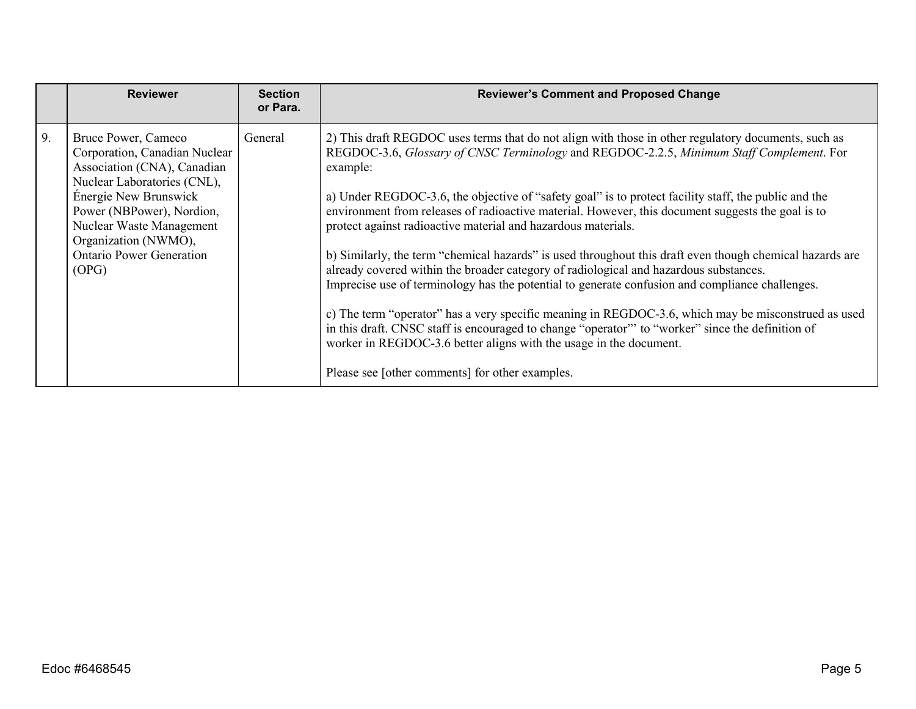|    | <b>Reviewer</b>                                                                                                                                                                                                                                                          | <b>Section</b><br>or Para. | <b>Reviewer's Comment and Proposed Change</b>                                                                                                                                                                                                                                                                                                                                                                                                                                                                                                                                                                                                                                                                                                                                                                                                                                                                                                                                                                                                                                                                                         |
|----|--------------------------------------------------------------------------------------------------------------------------------------------------------------------------------------------------------------------------------------------------------------------------|----------------------------|---------------------------------------------------------------------------------------------------------------------------------------------------------------------------------------------------------------------------------------------------------------------------------------------------------------------------------------------------------------------------------------------------------------------------------------------------------------------------------------------------------------------------------------------------------------------------------------------------------------------------------------------------------------------------------------------------------------------------------------------------------------------------------------------------------------------------------------------------------------------------------------------------------------------------------------------------------------------------------------------------------------------------------------------------------------------------------------------------------------------------------------|
| 9. | Bruce Power, Cameco<br>Corporation, Canadian Nuclear<br>Association (CNA), Canadian<br>Nuclear Laboratories (CNL),<br>Énergie New Brunswick<br>Power (NBPower), Nordion,<br>Nuclear Waste Management<br>Organization (NWMO),<br><b>Ontario Power Generation</b><br>(OPG) | General                    | 2) This draft REGDOC uses terms that do not align with those in other regulatory documents, such as<br>REGDOC-3.6, Glossary of CNSC Terminology and REGDOC-2.2.5, Minimum Staff Complement. For<br>example:<br>a) Under REGDOC-3.6, the objective of "safety goal" is to protect facility staff, the public and the<br>environment from releases of radioactive material. However, this document suggests the goal is to<br>protect against radioactive material and hazardous materials.<br>b) Similarly, the term "chemical hazards" is used throughout this draft even though chemical hazards are<br>already covered within the broader category of radiological and hazardous substances.<br>Imprecise use of terminology has the potential to generate confusion and compliance challenges.<br>c) The term "operator" has a very specific meaning in REGDOC-3.6, which may be misconstrued as used<br>in this draft. CNSC staff is encouraged to change "operator" to "worker" since the definition of<br>worker in REGDOC-3.6 better aligns with the usage in the document.<br>Please see [other comments] for other examples. |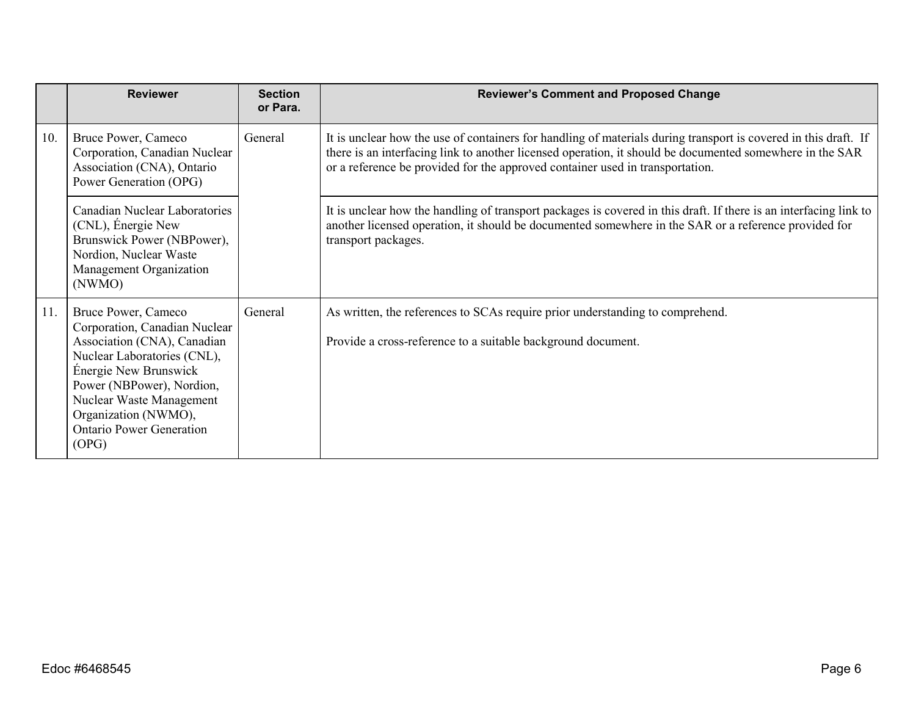|     | <b>Reviewer</b>                                                                                                                                                                                                                                                          | <b>Section</b><br>or Para. | <b>Reviewer's Comment and Proposed Change</b>                                                                                                                                                                                                                                                                |
|-----|--------------------------------------------------------------------------------------------------------------------------------------------------------------------------------------------------------------------------------------------------------------------------|----------------------------|--------------------------------------------------------------------------------------------------------------------------------------------------------------------------------------------------------------------------------------------------------------------------------------------------------------|
| 10. | Bruce Power, Cameco<br>Corporation, Canadian Nuclear<br>Association (CNA), Ontario<br>Power Generation (OPG)                                                                                                                                                             | General                    | It is unclear how the use of containers for handling of materials during transport is covered in this draft. If<br>there is an interfacing link to another licensed operation, it should be documented somewhere in the SAR<br>or a reference be provided for the approved container used in transportation. |
|     | Canadian Nuclear Laboratories<br>(CNL), Énergie New<br>Brunswick Power (NBPower),<br>Nordion, Nuclear Waste<br>Management Organization<br>(NWMO)                                                                                                                         |                            | It is unclear how the handling of transport packages is covered in this draft. If there is an interfacing link to<br>another licensed operation, it should be documented somewhere in the SAR or a reference provided for<br>transport packages.                                                             |
| 11. | Bruce Power, Cameco<br>Corporation, Canadian Nuclear<br>Association (CNA), Canadian<br>Nuclear Laboratories (CNL),<br>Énergie New Brunswick<br>Power (NBPower), Nordion,<br>Nuclear Waste Management<br>Organization (NWMO),<br><b>Ontario Power Generation</b><br>(OPG) | General                    | As written, the references to SCAs require prior understanding to comprehend.<br>Provide a cross-reference to a suitable background document.                                                                                                                                                                |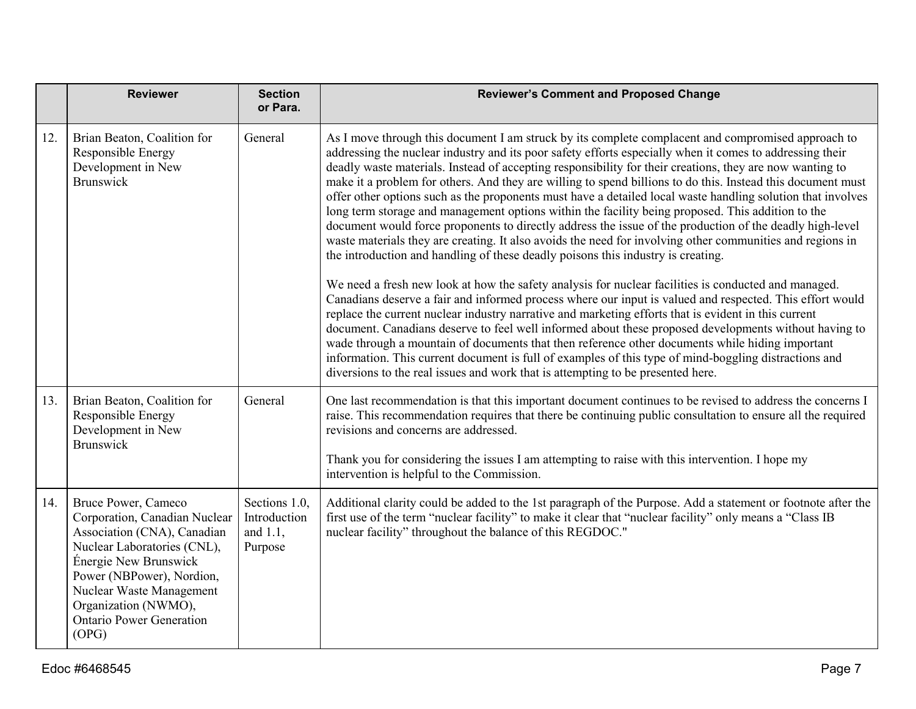|     | <b>Reviewer</b>                                                                                                                                                                                                                                                          | <b>Section</b><br>or Para.                           | <b>Reviewer's Comment and Proposed Change</b>                                                                                                                                                                                                                                                                                                                                                                                                                                                                                                                                                                                                                                                                                                                                                                                                                                                                                                                              |
|-----|--------------------------------------------------------------------------------------------------------------------------------------------------------------------------------------------------------------------------------------------------------------------------|------------------------------------------------------|----------------------------------------------------------------------------------------------------------------------------------------------------------------------------------------------------------------------------------------------------------------------------------------------------------------------------------------------------------------------------------------------------------------------------------------------------------------------------------------------------------------------------------------------------------------------------------------------------------------------------------------------------------------------------------------------------------------------------------------------------------------------------------------------------------------------------------------------------------------------------------------------------------------------------------------------------------------------------|
| 12. | Brian Beaton, Coalition for<br>Responsible Energy<br>Development in New<br><b>Brunswick</b>                                                                                                                                                                              | General                                              | As I move through this document I am struck by its complete complacent and compromised approach to<br>addressing the nuclear industry and its poor safety efforts especially when it comes to addressing their<br>deadly waste materials. Instead of accepting responsibility for their creations, they are now wanting to<br>make it a problem for others. And they are willing to spend billions to do this. Instead this document must<br>offer other options such as the proponents must have a detailed local waste handling solution that involves<br>long term storage and management options within the facility being proposed. This addition to the<br>document would force proponents to directly address the issue of the production of the deadly high-level<br>waste materials they are creating. It also avoids the need for involving other communities and regions in<br>the introduction and handling of these deadly poisons this industry is creating. |
|     |                                                                                                                                                                                                                                                                          |                                                      | We need a fresh new look at how the safety analysis for nuclear facilities is conducted and managed.<br>Canadians deserve a fair and informed process where our input is valued and respected. This effort would<br>replace the current nuclear industry narrative and marketing efforts that is evident in this current<br>document. Canadians deserve to feel well informed about these proposed developments without having to<br>wade through a mountain of documents that then reference other documents while hiding important<br>information. This current document is full of examples of this type of mind-boggling distractions and<br>diversions to the real issues and work that is attempting to be presented here.                                                                                                                                                                                                                                           |
| 13. | Brian Beaton, Coalition for<br>Responsible Energy<br>Development in New<br><b>Brunswick</b>                                                                                                                                                                              | General                                              | One last recommendation is that this important document continues to be revised to address the concerns I<br>raise. This recommendation requires that there be continuing public consultation to ensure all the required<br>revisions and concerns are addressed.                                                                                                                                                                                                                                                                                                                                                                                                                                                                                                                                                                                                                                                                                                          |
|     |                                                                                                                                                                                                                                                                          |                                                      | Thank you for considering the issues I am attempting to raise with this intervention. I hope my<br>intervention is helpful to the Commission.                                                                                                                                                                                                                                                                                                                                                                                                                                                                                                                                                                                                                                                                                                                                                                                                                              |
| 14. | Bruce Power, Cameco<br>Corporation, Canadian Nuclear<br>Association (CNA), Canadian<br>Nuclear Laboratories (CNL),<br>Énergie New Brunswick<br>Power (NBPower), Nordion,<br>Nuclear Waste Management<br>Organization (NWMO),<br><b>Ontario Power Generation</b><br>(OPG) | Sections 1.0,<br>Introduction<br>and 1.1,<br>Purpose | Additional clarity could be added to the 1st paragraph of the Purpose. Add a statement or footnote after the<br>first use of the term "nuclear facility" to make it clear that "nuclear facility" only means a "Class IB<br>nuclear facility" throughout the balance of this REGDOC."                                                                                                                                                                                                                                                                                                                                                                                                                                                                                                                                                                                                                                                                                      |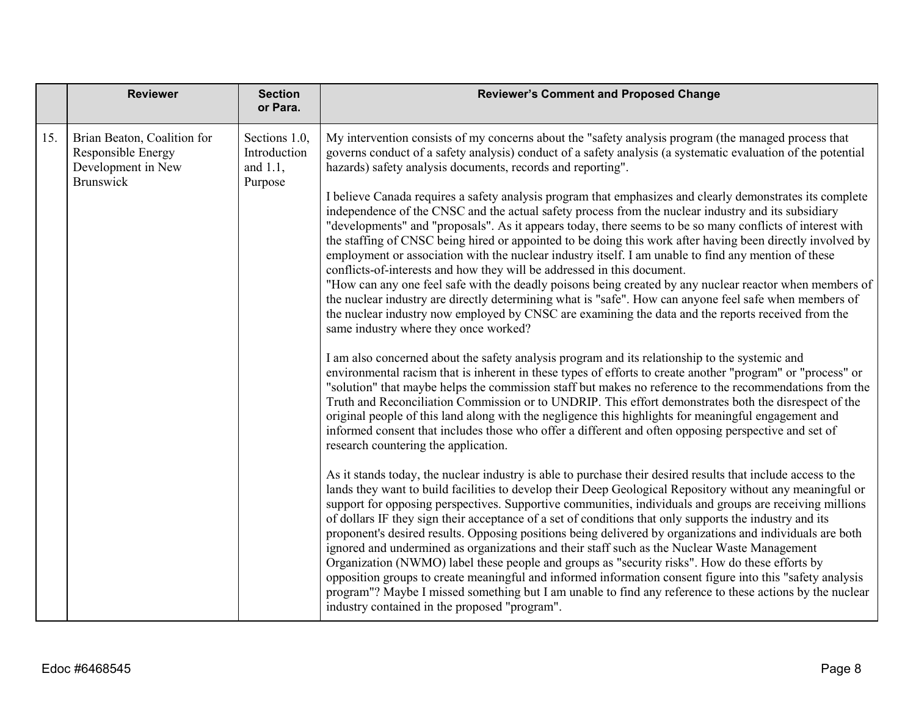|     | <b>Reviewer</b>                                                                             | <b>Section</b><br>or Para.                              | <b>Reviewer's Comment and Proposed Change</b>                                                                                                                                                                                                                                                                                                                                                                                                                                                                                                                                                                                                                                                                                                                                                                                                                                                                                                                                                                                              |
|-----|---------------------------------------------------------------------------------------------|---------------------------------------------------------|--------------------------------------------------------------------------------------------------------------------------------------------------------------------------------------------------------------------------------------------------------------------------------------------------------------------------------------------------------------------------------------------------------------------------------------------------------------------------------------------------------------------------------------------------------------------------------------------------------------------------------------------------------------------------------------------------------------------------------------------------------------------------------------------------------------------------------------------------------------------------------------------------------------------------------------------------------------------------------------------------------------------------------------------|
| 15. | Brian Beaton, Coalition for<br>Responsible Energy<br>Development in New<br><b>Brunswick</b> | Sections 1.0,<br>Introduction<br>and $1.1$ ,<br>Purpose | My intervention consists of my concerns about the "safety analysis program (the managed process that<br>governs conduct of a safety analysis) conduct of a safety analysis (a systematic evaluation of the potential<br>hazards) safety analysis documents, records and reporting".                                                                                                                                                                                                                                                                                                                                                                                                                                                                                                                                                                                                                                                                                                                                                        |
|     |                                                                                             |                                                         | I believe Canada requires a safety analysis program that emphasizes and clearly demonstrates its complete<br>independence of the CNSC and the actual safety process from the nuclear industry and its subsidiary<br>"developments" and "proposals". As it appears today, there seems to be so many conflicts of interest with<br>the staffing of CNSC being hired or appointed to be doing this work after having been directly involved by<br>employment or association with the nuclear industry itself. I am unable to find any mention of these<br>conflicts-of-interests and how they will be addressed in this document.<br>"How can any one feel safe with the deadly poisons being created by any nuclear reactor when members of<br>the nuclear industry are directly determining what is "safe". How can anyone feel safe when members of<br>the nuclear industry now employed by CNSC are examining the data and the reports received from the<br>same industry where they once worked?                                         |
|     |                                                                                             |                                                         | I am also concerned about the safety analysis program and its relationship to the systemic and<br>environmental racism that is inherent in these types of efforts to create another "program" or "process" or<br>"solution" that maybe helps the commission staff but makes no reference to the recommendations from the<br>Truth and Reconciliation Commission or to UNDRIP. This effort demonstrates both the disrespect of the<br>original people of this land along with the negligence this highlights for meaningful engagement and<br>informed consent that includes those who offer a different and often opposing perspective and set of<br>research countering the application.                                                                                                                                                                                                                                                                                                                                                  |
|     |                                                                                             |                                                         | As it stands today, the nuclear industry is able to purchase their desired results that include access to the<br>lands they want to build facilities to develop their Deep Geological Repository without any meaningful or<br>support for opposing perspectives. Supportive communities, individuals and groups are receiving millions<br>of dollars IF they sign their acceptance of a set of conditions that only supports the industry and its<br>proponent's desired results. Opposing positions being delivered by organizations and individuals are both<br>ignored and undermined as organizations and their staff such as the Nuclear Waste Management<br>Organization (NWMO) label these people and groups as "security risks". How do these efforts by<br>opposition groups to create meaningful and informed information consent figure into this "safety analysis<br>program"? Maybe I missed something but I am unable to find any reference to these actions by the nuclear<br>industry contained in the proposed "program". |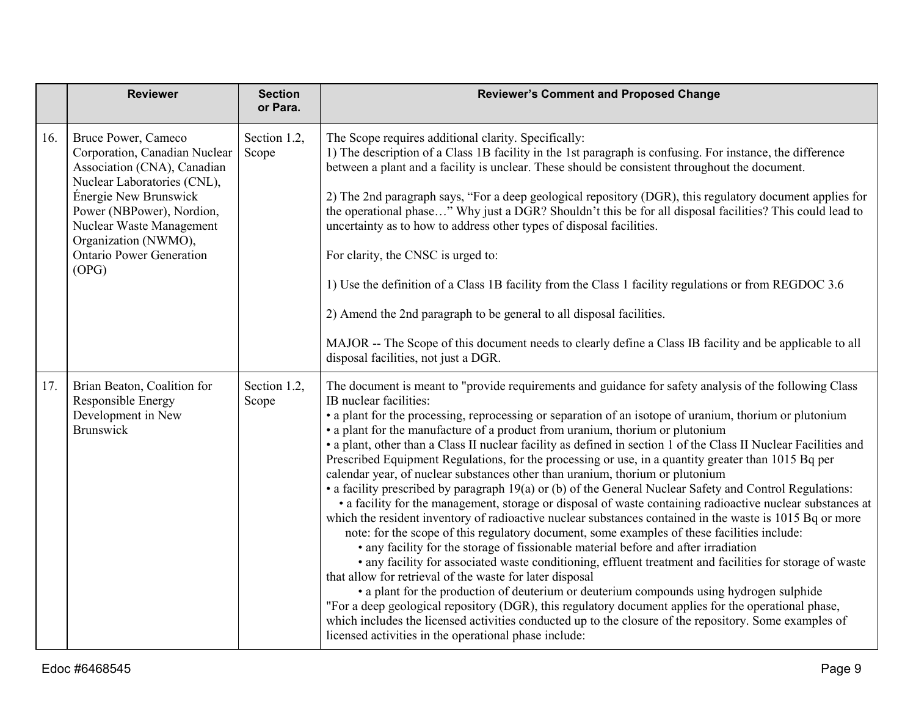|     | <b>Reviewer</b>                                                                                                                                                                                                                                                          | <b>Section</b><br>or Para. | <b>Reviewer's Comment and Proposed Change</b>                                                                                                                                                                                                                                                                                                                                                                                                                                                                                                                                                                                                                                                                                                                                                                                                                                                                                                                                                                                                                                                                                                                                                                                                                                                                                                                                                                                                                                                                                                                                                                                                                                                                       |
|-----|--------------------------------------------------------------------------------------------------------------------------------------------------------------------------------------------------------------------------------------------------------------------------|----------------------------|---------------------------------------------------------------------------------------------------------------------------------------------------------------------------------------------------------------------------------------------------------------------------------------------------------------------------------------------------------------------------------------------------------------------------------------------------------------------------------------------------------------------------------------------------------------------------------------------------------------------------------------------------------------------------------------------------------------------------------------------------------------------------------------------------------------------------------------------------------------------------------------------------------------------------------------------------------------------------------------------------------------------------------------------------------------------------------------------------------------------------------------------------------------------------------------------------------------------------------------------------------------------------------------------------------------------------------------------------------------------------------------------------------------------------------------------------------------------------------------------------------------------------------------------------------------------------------------------------------------------------------------------------------------------------------------------------------------------|
| 16. | Bruce Power, Cameco<br>Corporation, Canadian Nuclear<br>Association (CNA), Canadian<br>Nuclear Laboratories (CNL),<br>Énergie New Brunswick<br>Power (NBPower), Nordion,<br>Nuclear Waste Management<br>Organization (NWMO),<br><b>Ontario Power Generation</b><br>(OPG) | Section 1.2,<br>Scope      | The Scope requires additional clarity. Specifically:<br>1) The description of a Class 1B facility in the 1st paragraph is confusing. For instance, the difference<br>between a plant and a facility is unclear. These should be consistent throughout the document.<br>2) The 2nd paragraph says, "For a deep geological repository (DGR), this regulatory document applies for<br>the operational phase" Why just a DGR? Shouldn't this be for all disposal facilities? This could lead to<br>uncertainty as to how to address other types of disposal facilities.<br>For clarity, the CNSC is urged to:<br>1) Use the definition of a Class 1B facility from the Class 1 facility regulations or from REGDOC 3.6<br>2) Amend the 2nd paragraph to be general to all disposal facilities.<br>MAJOR -- The Scope of this document needs to clearly define a Class IB facility and be applicable to all<br>disposal facilities, not just a DGR.                                                                                                                                                                                                                                                                                                                                                                                                                                                                                                                                                                                                                                                                                                                                                                      |
| 17. | Brian Beaton, Coalition for<br>Responsible Energy<br>Development in New<br><b>Brunswick</b>                                                                                                                                                                              | Section 1.2,<br>Scope      | The document is meant to "provide requirements and guidance for safety analysis of the following Class<br>IB nuclear facilities:<br>• a plant for the processing, reprocessing or separation of an isotope of uranium, thorium or plutonium<br>• a plant for the manufacture of a product from uranium, thorium or plutonium<br>• a plant, other than a Class II nuclear facility as defined in section 1 of the Class II Nuclear Facilities and<br>Prescribed Equipment Regulations, for the processing or use, in a quantity greater than 1015 Bq per<br>calendar year, of nuclear substances other than uranium, thorium or plutonium<br>• a facility prescribed by paragraph 19(a) or (b) of the General Nuclear Safety and Control Regulations:<br>• a facility for the management, storage or disposal of waste containing radioactive nuclear substances at<br>which the resident inventory of radioactive nuclear substances contained in the waste is 1015 Bq or more<br>note: for the scope of this regulatory document, some examples of these facilities include:<br>• any facility for the storage of fissionable material before and after irradiation<br>• any facility for associated waste conditioning, effluent treatment and facilities for storage of waste<br>that allow for retrieval of the waste for later disposal<br>• a plant for the production of deuterium or deuterium compounds using hydrogen sulphide<br>"For a deep geological repository (DGR), this regulatory document applies for the operational phase,<br>which includes the licensed activities conducted up to the closure of the repository. Some examples of<br>licensed activities in the operational phase include: |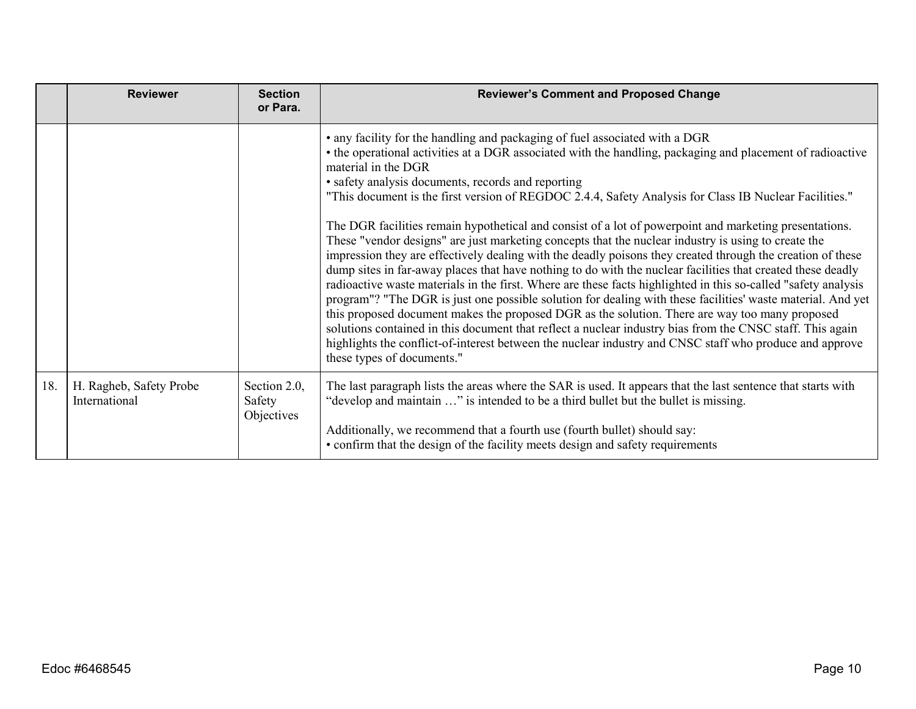|     | <b>Reviewer</b>                          | <b>Section</b><br>or Para.           | <b>Reviewer's Comment and Proposed Change</b>                                                                                                                                                                                                                                                                                                                                                                                                                                                                                                                                                                                                                                                                                                                                                                                                                                                                                                                                                                                                                                                                                                                                                                                                                                                                                                                                                                           |
|-----|------------------------------------------|--------------------------------------|-------------------------------------------------------------------------------------------------------------------------------------------------------------------------------------------------------------------------------------------------------------------------------------------------------------------------------------------------------------------------------------------------------------------------------------------------------------------------------------------------------------------------------------------------------------------------------------------------------------------------------------------------------------------------------------------------------------------------------------------------------------------------------------------------------------------------------------------------------------------------------------------------------------------------------------------------------------------------------------------------------------------------------------------------------------------------------------------------------------------------------------------------------------------------------------------------------------------------------------------------------------------------------------------------------------------------------------------------------------------------------------------------------------------------|
|     |                                          |                                      | • any facility for the handling and packaging of fuel associated with a DGR<br>• the operational activities at a DGR associated with the handling, packaging and placement of radioactive<br>material in the DGR<br>• safety analysis documents, records and reporting<br>"This document is the first version of REGDOC 2.4.4, Safety Analysis for Class IB Nuclear Facilities."<br>The DGR facilities remain hypothetical and consist of a lot of powerpoint and marketing presentations.<br>These "vendor designs" are just marketing concepts that the nuclear industry is using to create the<br>impression they are effectively dealing with the deadly poisons they created through the creation of these<br>dump sites in far-away places that have nothing to do with the nuclear facilities that created these deadly<br>radioactive waste materials in the first. Where are these facts highlighted in this so-called "safety analysis<br>program"? "The DGR is just one possible solution for dealing with these facilities' waste material. And yet<br>this proposed document makes the proposed DGR as the solution. There are way too many proposed<br>solutions contained in this document that reflect a nuclear industry bias from the CNSC staff. This again<br>highlights the conflict-of-interest between the nuclear industry and CNSC staff who produce and approve<br>these types of documents." |
| 18. | H. Ragheb, Safety Probe<br>International | Section 2.0,<br>Safety<br>Objectives | The last paragraph lists the areas where the SAR is used. It appears that the last sentence that starts with<br>"develop and maintain " is intended to be a third bullet but the bullet is missing.<br>Additionally, we recommend that a fourth use (fourth bullet) should say:<br>• confirm that the design of the facility meets design and safety requirements                                                                                                                                                                                                                                                                                                                                                                                                                                                                                                                                                                                                                                                                                                                                                                                                                                                                                                                                                                                                                                                       |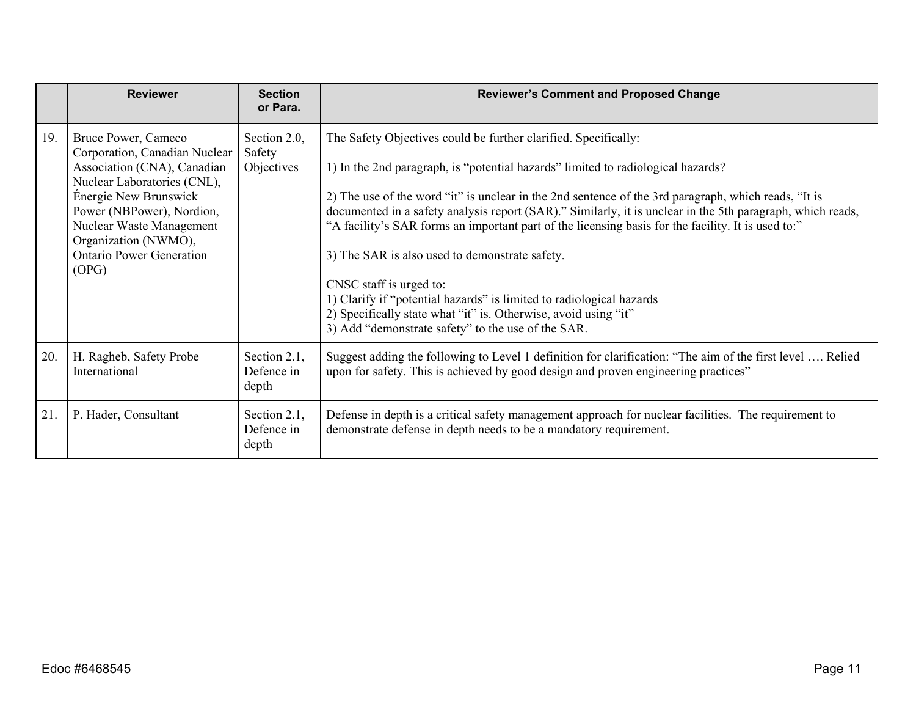|     | <b>Reviewer</b>                                                                                                                                                                                                                                                          | <b>Section</b><br>or Para.           | <b>Reviewer's Comment and Proposed Change</b>                                                                                                                                                                                                                                                                                                                                                                                                                                                                                                                                                                                                                                                                                                                 |
|-----|--------------------------------------------------------------------------------------------------------------------------------------------------------------------------------------------------------------------------------------------------------------------------|--------------------------------------|---------------------------------------------------------------------------------------------------------------------------------------------------------------------------------------------------------------------------------------------------------------------------------------------------------------------------------------------------------------------------------------------------------------------------------------------------------------------------------------------------------------------------------------------------------------------------------------------------------------------------------------------------------------------------------------------------------------------------------------------------------------|
| 19. | Bruce Power, Cameco<br>Corporation, Canadian Nuclear<br>Association (CNA), Canadian<br>Nuclear Laboratories (CNL),<br>Énergie New Brunswick<br>Power (NBPower), Nordion,<br>Nuclear Waste Management<br>Organization (NWMO),<br><b>Ontario Power Generation</b><br>(OPG) | Section 2.0,<br>Safety<br>Objectives | The Safety Objectives could be further clarified. Specifically:<br>1) In the 2nd paragraph, is "potential hazards" limited to radiological hazards?<br>2) The use of the word "it" is unclear in the 2nd sentence of the 3rd paragraph, which reads, "It is<br>documented in a safety analysis report (SAR)." Similarly, it is unclear in the 5th paragraph, which reads,<br>"A facility's SAR forms an important part of the licensing basis for the facility. It is used to:"<br>3) The SAR is also used to demonstrate safety.<br>CNSC staff is urged to:<br>1) Clarify if "potential hazards" is limited to radiological hazards<br>2) Specifically state what "it" is. Otherwise, avoid using "it"<br>3) Add "demonstrate safety" to the use of the SAR. |
| 20. | H. Ragheb, Safety Probe<br>International                                                                                                                                                                                                                                 | Section 2.1,<br>Defence in<br>depth  | Suggest adding the following to Level 1 definition for clarification: "The aim of the first level  Relied<br>upon for safety. This is achieved by good design and proven engineering practices"                                                                                                                                                                                                                                                                                                                                                                                                                                                                                                                                                               |
| 21. | P. Hader, Consultant                                                                                                                                                                                                                                                     | Section 2.1,<br>Defence in<br>depth  | Defense in depth is a critical safety management approach for nuclear facilities. The requirement to<br>demonstrate defense in depth needs to be a mandatory requirement.                                                                                                                                                                                                                                                                                                                                                                                                                                                                                                                                                                                     |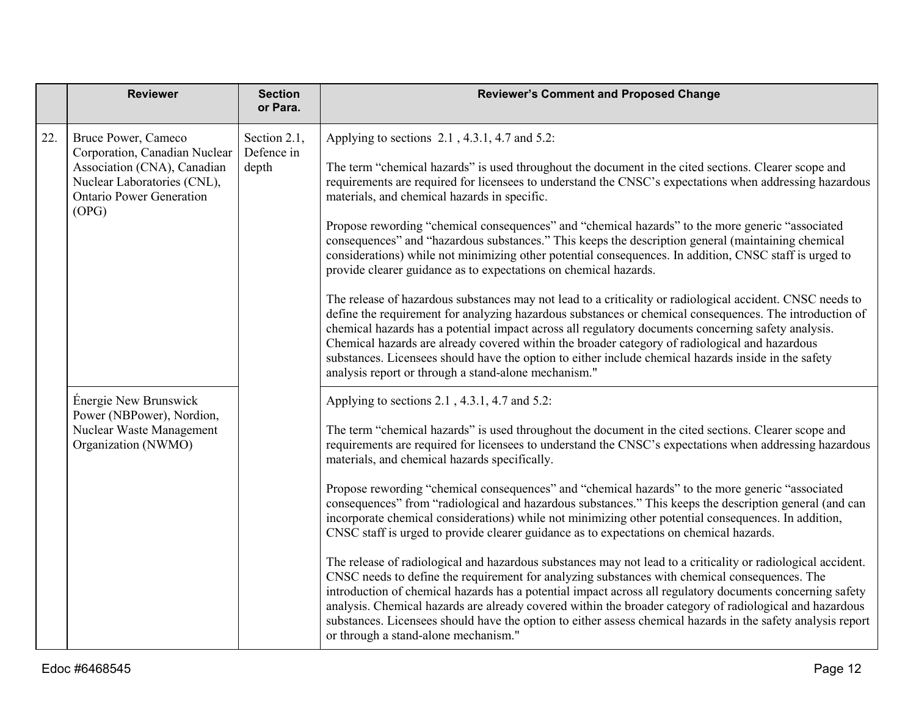|     | <b>Reviewer</b>                                                                                                                                                                                       | <b>Section</b><br>or Para.                                                                                                                                                                                                                                                                                                                                                                                                                                                                                                                                                                                                                                                                                                                                                                                                                                                                                                                                                                                                              | <b>Reviewer's Comment and Proposed Change</b>                                                                                                                                                                                                                                                                                                                                                                                                                                                                                                                                                  |
|-----|-------------------------------------------------------------------------------------------------------------------------------------------------------------------------------------------------------|-----------------------------------------------------------------------------------------------------------------------------------------------------------------------------------------------------------------------------------------------------------------------------------------------------------------------------------------------------------------------------------------------------------------------------------------------------------------------------------------------------------------------------------------------------------------------------------------------------------------------------------------------------------------------------------------------------------------------------------------------------------------------------------------------------------------------------------------------------------------------------------------------------------------------------------------------------------------------------------------------------------------------------------------|------------------------------------------------------------------------------------------------------------------------------------------------------------------------------------------------------------------------------------------------------------------------------------------------------------------------------------------------------------------------------------------------------------------------------------------------------------------------------------------------------------------------------------------------------------------------------------------------|
| 22. | Bruce Power, Cameco<br>Section 2.1,<br>Defence in<br>Corporation, Canadian Nuclear<br>Association (CNA), Canadian<br>depth<br>Nuclear Laboratories (CNL),<br><b>Ontario Power Generation</b><br>(OPG) | Applying to sections 2.1, 4.3.1, 4.7 and 5.2:<br>The term "chemical hazards" is used throughout the document in the cited sections. Clearer scope and<br>requirements are required for licensees to understand the CNSC's expectations when addressing hazardous<br>materials, and chemical hazards in specific.<br>Propose rewording "chemical consequences" and "chemical hazards" to the more generic "associated<br>consequences" and "hazardous substances." This keeps the description general (maintaining chemical<br>considerations) while not minimizing other potential consequences. In addition, CNSC staff is urged to<br>provide clearer guidance as to expectations on chemical hazards.<br>The release of hazardous substances may not lead to a criticality or radiological accident. CNSC needs to<br>define the requirement for analyzing hazardous substances or chemical consequences. The introduction of<br>chemical hazards has a potential impact across all regulatory documents concerning safety analysis. |                                                                                                                                                                                                                                                                                                                                                                                                                                                                                                                                                                                                |
|     |                                                                                                                                                                                                       |                                                                                                                                                                                                                                                                                                                                                                                                                                                                                                                                                                                                                                                                                                                                                                                                                                                                                                                                                                                                                                         | Chemical hazards are already covered within the broader category of radiological and hazardous<br>substances. Licensees should have the option to either include chemical hazards inside in the safety<br>analysis report or through a stand-alone mechanism."                                                                                                                                                                                                                                                                                                                                 |
|     | Énergie New Brunswick<br>Power (NBPower), Nordion,<br>Nuclear Waste Management<br>Organization (NWMO)                                                                                                 |                                                                                                                                                                                                                                                                                                                                                                                                                                                                                                                                                                                                                                                                                                                                                                                                                                                                                                                                                                                                                                         | Applying to sections 2.1, 4.3.1, 4.7 and 5.2:<br>The term "chemical hazards" is used throughout the document in the cited sections. Clearer scope and<br>requirements are required for licensees to understand the CNSC's expectations when addressing hazardous<br>materials, and chemical hazards specifically.                                                                                                                                                                                                                                                                              |
|     |                                                                                                                                                                                                       |                                                                                                                                                                                                                                                                                                                                                                                                                                                                                                                                                                                                                                                                                                                                                                                                                                                                                                                                                                                                                                         | Propose rewording "chemical consequences" and "chemical hazards" to the more generic "associated<br>consequences" from "radiological and hazardous substances." This keeps the description general (and can<br>incorporate chemical considerations) while not minimizing other potential consequences. In addition,<br>CNSC staff is urged to provide clearer guidance as to expectations on chemical hazards.                                                                                                                                                                                 |
|     |                                                                                                                                                                                                       |                                                                                                                                                                                                                                                                                                                                                                                                                                                                                                                                                                                                                                                                                                                                                                                                                                                                                                                                                                                                                                         | The release of radiological and hazardous substances may not lead to a criticality or radiological accident.<br>CNSC needs to define the requirement for analyzing substances with chemical consequences. The<br>introduction of chemical hazards has a potential impact across all regulatory documents concerning safety<br>analysis. Chemical hazards are already covered within the broader category of radiological and hazardous<br>substances. Licensees should have the option to either assess chemical hazards in the safety analysis report<br>or through a stand-alone mechanism." |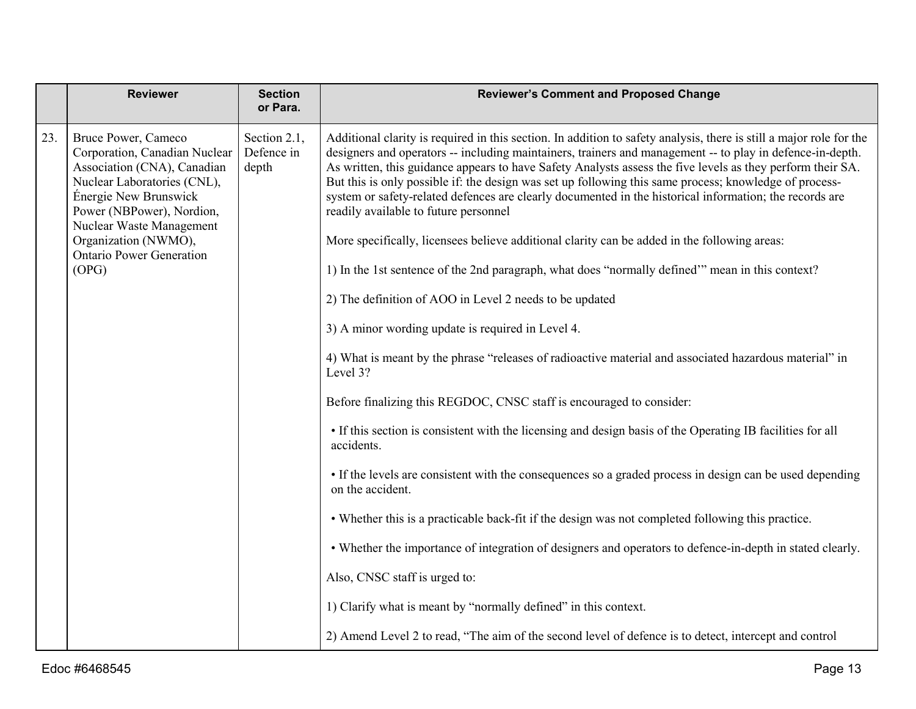|     | <b>Reviewer</b>                                                                                                                                                                                      | <b>Section</b><br>or Para.          | <b>Reviewer's Comment and Proposed Change</b>                                                                                                                                                                                                                                                                                                                                                                                                                                                                                                                                                                                                                                                                |
|-----|------------------------------------------------------------------------------------------------------------------------------------------------------------------------------------------------------|-------------------------------------|--------------------------------------------------------------------------------------------------------------------------------------------------------------------------------------------------------------------------------------------------------------------------------------------------------------------------------------------------------------------------------------------------------------------------------------------------------------------------------------------------------------------------------------------------------------------------------------------------------------------------------------------------------------------------------------------------------------|
| 23. | Bruce Power, Cameco<br>Corporation, Canadian Nuclear<br>Association (CNA), Canadian<br>Nuclear Laboratories (CNL),<br>Énergie New Brunswick<br>Power (NBPower), Nordion,<br>Nuclear Waste Management | Section 2.1,<br>Defence in<br>depth | Additional clarity is required in this section. In addition to safety analysis, there is still a major role for the<br>designers and operators -- including maintainers, trainers and management -- to play in defence-in-depth.<br>As written, this guidance appears to have Safety Analysts assess the five levels as they perform their SA.<br>But this is only possible if: the design was set up following this same process; knowledge of process-<br>system or safety-related defences are clearly documented in the historical information; the records are<br>readily available to future personnel<br>More specifically, licensees believe additional clarity can be added in the following areas: |
|     | Organization (NWMO),<br><b>Ontario Power Generation</b><br>(OPG)                                                                                                                                     |                                     | 1) In the 1st sentence of the 2nd paragraph, what does "normally defined" mean in this context?                                                                                                                                                                                                                                                                                                                                                                                                                                                                                                                                                                                                              |
|     |                                                                                                                                                                                                      |                                     |                                                                                                                                                                                                                                                                                                                                                                                                                                                                                                                                                                                                                                                                                                              |
|     |                                                                                                                                                                                                      |                                     | 2) The definition of AOO in Level 2 needs to be updated                                                                                                                                                                                                                                                                                                                                                                                                                                                                                                                                                                                                                                                      |
|     |                                                                                                                                                                                                      |                                     | 3) A minor wording update is required in Level 4.                                                                                                                                                                                                                                                                                                                                                                                                                                                                                                                                                                                                                                                            |
|     |                                                                                                                                                                                                      |                                     | 4) What is meant by the phrase "releases of radioactive material and associated hazardous material" in<br>Level 3?                                                                                                                                                                                                                                                                                                                                                                                                                                                                                                                                                                                           |
|     |                                                                                                                                                                                                      |                                     | Before finalizing this REGDOC, CNSC staff is encouraged to consider:                                                                                                                                                                                                                                                                                                                                                                                                                                                                                                                                                                                                                                         |
|     |                                                                                                                                                                                                      |                                     | • If this section is consistent with the licensing and design basis of the Operating IB facilities for all<br>accidents.                                                                                                                                                                                                                                                                                                                                                                                                                                                                                                                                                                                     |
|     |                                                                                                                                                                                                      |                                     | • If the levels are consistent with the consequences so a graded process in design can be used depending<br>on the accident.                                                                                                                                                                                                                                                                                                                                                                                                                                                                                                                                                                                 |
|     |                                                                                                                                                                                                      |                                     | • Whether this is a practicable back-fit if the design was not completed following this practice.                                                                                                                                                                                                                                                                                                                                                                                                                                                                                                                                                                                                            |
|     |                                                                                                                                                                                                      |                                     | • Whether the importance of integration of designers and operators to defence-in-depth in stated clearly.                                                                                                                                                                                                                                                                                                                                                                                                                                                                                                                                                                                                    |
|     |                                                                                                                                                                                                      |                                     | Also, CNSC staff is urged to:                                                                                                                                                                                                                                                                                                                                                                                                                                                                                                                                                                                                                                                                                |
|     |                                                                                                                                                                                                      |                                     | 1) Clarify what is meant by "normally defined" in this context.                                                                                                                                                                                                                                                                                                                                                                                                                                                                                                                                                                                                                                              |
|     |                                                                                                                                                                                                      |                                     | 2) Amend Level 2 to read, "The aim of the second level of defence is to detect, intercept and control                                                                                                                                                                                                                                                                                                                                                                                                                                                                                                                                                                                                        |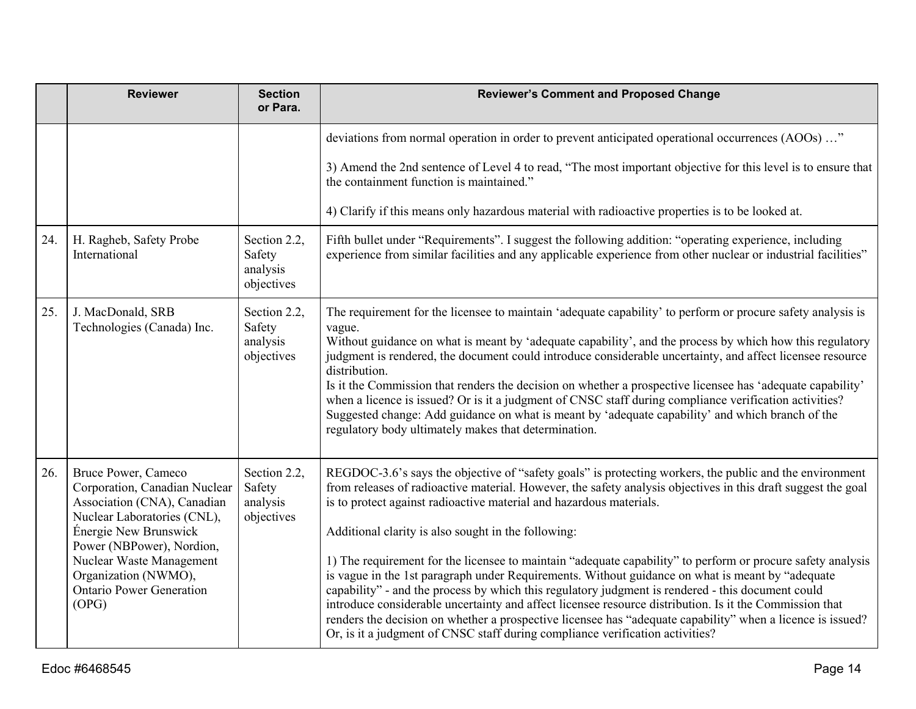|     | <b>Reviewer</b>                                                                                                                                                                                                                                                          | <b>Section</b><br>or Para.                       | <b>Reviewer's Comment and Proposed Change</b>                                                                                                                                                                                                                                                                                                                                                                                                                                                                                                                                                                                                                                                                                                                                                                                                                                                                                                                                            |
|-----|--------------------------------------------------------------------------------------------------------------------------------------------------------------------------------------------------------------------------------------------------------------------------|--------------------------------------------------|------------------------------------------------------------------------------------------------------------------------------------------------------------------------------------------------------------------------------------------------------------------------------------------------------------------------------------------------------------------------------------------------------------------------------------------------------------------------------------------------------------------------------------------------------------------------------------------------------------------------------------------------------------------------------------------------------------------------------------------------------------------------------------------------------------------------------------------------------------------------------------------------------------------------------------------------------------------------------------------|
|     |                                                                                                                                                                                                                                                                          |                                                  | deviations from normal operation in order to prevent anticipated operational occurrences (AOOs) "                                                                                                                                                                                                                                                                                                                                                                                                                                                                                                                                                                                                                                                                                                                                                                                                                                                                                        |
|     |                                                                                                                                                                                                                                                                          |                                                  | 3) Amend the 2nd sentence of Level 4 to read, "The most important objective for this level is to ensure that<br>the containment function is maintained."                                                                                                                                                                                                                                                                                                                                                                                                                                                                                                                                                                                                                                                                                                                                                                                                                                 |
|     |                                                                                                                                                                                                                                                                          |                                                  | 4) Clarify if this means only hazardous material with radioactive properties is to be looked at.                                                                                                                                                                                                                                                                                                                                                                                                                                                                                                                                                                                                                                                                                                                                                                                                                                                                                         |
| 24. | H. Ragheb, Safety Probe<br>International                                                                                                                                                                                                                                 | Section 2.2,<br>Safety<br>analysis<br>objectives | Fifth bullet under "Requirements". I suggest the following addition: "operating experience, including<br>experience from similar facilities and any applicable experience from other nuclear or industrial facilities"                                                                                                                                                                                                                                                                                                                                                                                                                                                                                                                                                                                                                                                                                                                                                                   |
| 25. | J. MacDonald, SRB<br>Technologies (Canada) Inc.                                                                                                                                                                                                                          | Section 2.2,<br>Safety<br>analysis<br>objectives | The requirement for the licensee to maintain 'adequate capability' to perform or procure safety analysis is<br>vague.<br>Without guidance on what is meant by 'adequate capability', and the process by which how this regulatory<br>judgment is rendered, the document could introduce considerable uncertainty, and affect licensee resource<br>distribution.<br>Is it the Commission that renders the decision on whether a prospective licensee has 'adequate capability'<br>when a licence is issued? Or is it a judgment of CNSC staff during compliance verification activities?<br>Suggested change: Add guidance on what is meant by 'adequate capability' and which branch of the<br>regulatory body ultimately makes that determination.                                                                                                                                                                                                                                      |
| 26. | Bruce Power, Cameco<br>Corporation, Canadian Nuclear<br>Association (CNA), Canadian<br>Nuclear Laboratories (CNL),<br>Énergie New Brunswick<br>Power (NBPower), Nordion,<br>Nuclear Waste Management<br>Organization (NWMO),<br><b>Ontario Power Generation</b><br>(OPG) | Section 2.2,<br>Safety<br>analysis<br>objectives | REGDOC-3.6's says the objective of "safety goals" is protecting workers, the public and the environment<br>from releases of radioactive material. However, the safety analysis objectives in this draft suggest the goal<br>is to protect against radioactive material and hazardous materials.<br>Additional clarity is also sought in the following:<br>1) The requirement for the licensee to maintain "adequate capability" to perform or procure safety analysis<br>is vague in the 1st paragraph under Requirements. Without guidance on what is meant by "adequate<br>capability" - and the process by which this regulatory judgment is rendered - this document could<br>introduce considerable uncertainty and affect licensee resource distribution. Is it the Commission that<br>renders the decision on whether a prospective licensee has "adequate capability" when a licence is issued?<br>Or, is it a judgment of CNSC staff during compliance verification activities? |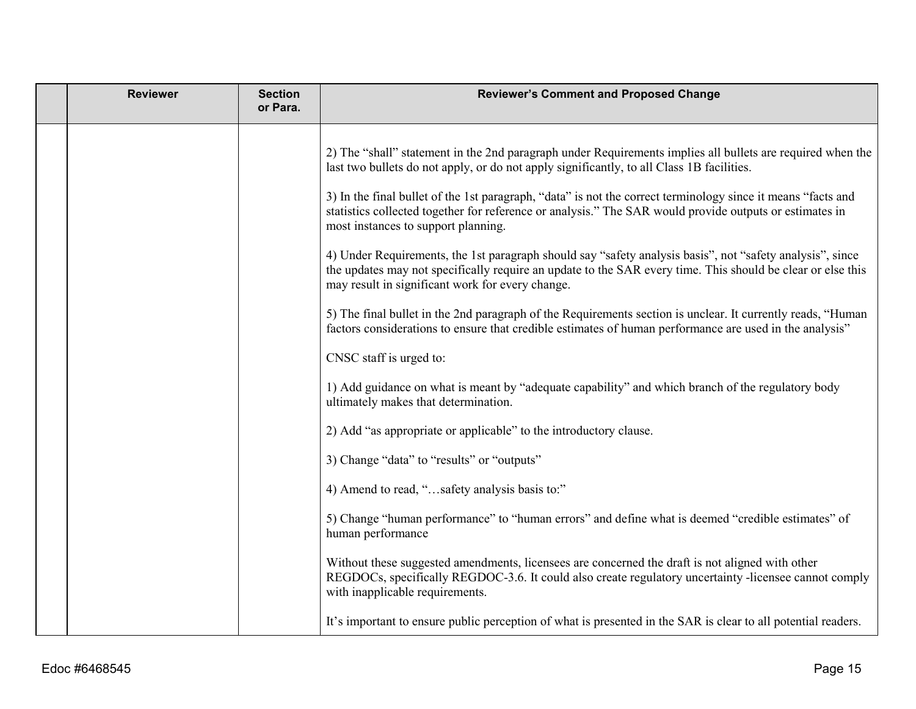| <b>Reviewer</b> | <b>Section</b><br>or Para. | <b>Reviewer's Comment and Proposed Change</b>                                                                                                                                                                                                                                                                                                                                                                                                                                                                                                                                                                                                                                                                                                             |
|-----------------|----------------------------|-----------------------------------------------------------------------------------------------------------------------------------------------------------------------------------------------------------------------------------------------------------------------------------------------------------------------------------------------------------------------------------------------------------------------------------------------------------------------------------------------------------------------------------------------------------------------------------------------------------------------------------------------------------------------------------------------------------------------------------------------------------|
|                 |                            | 2) The "shall" statement in the 2nd paragraph under Requirements implies all bullets are required when the<br>last two bullets do not apply, or do not apply significantly, to all Class 1B facilities.<br>3) In the final bullet of the 1st paragraph, "data" is not the correct terminology since it means "facts and<br>statistics collected together for reference or analysis." The SAR would provide outputs or estimates in<br>most instances to support planning.<br>4) Under Requirements, the 1st paragraph should say "safety analysis basis", not "safety analysis", since<br>the updates may not specifically require an update to the SAR every time. This should be clear or else this<br>may result in significant work for every change. |
|                 |                            | 5) The final bullet in the 2nd paragraph of the Requirements section is unclear. It currently reads, "Human<br>factors considerations to ensure that credible estimates of human performance are used in the analysis"                                                                                                                                                                                                                                                                                                                                                                                                                                                                                                                                    |
|                 |                            | CNSC staff is urged to:                                                                                                                                                                                                                                                                                                                                                                                                                                                                                                                                                                                                                                                                                                                                   |
|                 |                            | 1) Add guidance on what is meant by "adequate capability" and which branch of the regulatory body<br>ultimately makes that determination.                                                                                                                                                                                                                                                                                                                                                                                                                                                                                                                                                                                                                 |
|                 |                            | 2) Add "as appropriate or applicable" to the introductory clause.                                                                                                                                                                                                                                                                                                                                                                                                                                                                                                                                                                                                                                                                                         |
|                 |                            | 3) Change "data" to "results" or "outputs"                                                                                                                                                                                                                                                                                                                                                                                                                                                                                                                                                                                                                                                                                                                |
|                 |                            | 4) Amend to read, "safety analysis basis to:"                                                                                                                                                                                                                                                                                                                                                                                                                                                                                                                                                                                                                                                                                                             |
|                 |                            | 5) Change "human performance" to "human errors" and define what is deemed "credible estimates" of<br>human performance                                                                                                                                                                                                                                                                                                                                                                                                                                                                                                                                                                                                                                    |
|                 |                            | Without these suggested amendments, licensees are concerned the draft is not aligned with other<br>REGDOCs, specifically REGDOC-3.6. It could also create regulatory uncertainty -licensee cannot comply<br>with inapplicable requirements.                                                                                                                                                                                                                                                                                                                                                                                                                                                                                                               |
|                 |                            | It's important to ensure public perception of what is presented in the SAR is clear to all potential readers.                                                                                                                                                                                                                                                                                                                                                                                                                                                                                                                                                                                                                                             |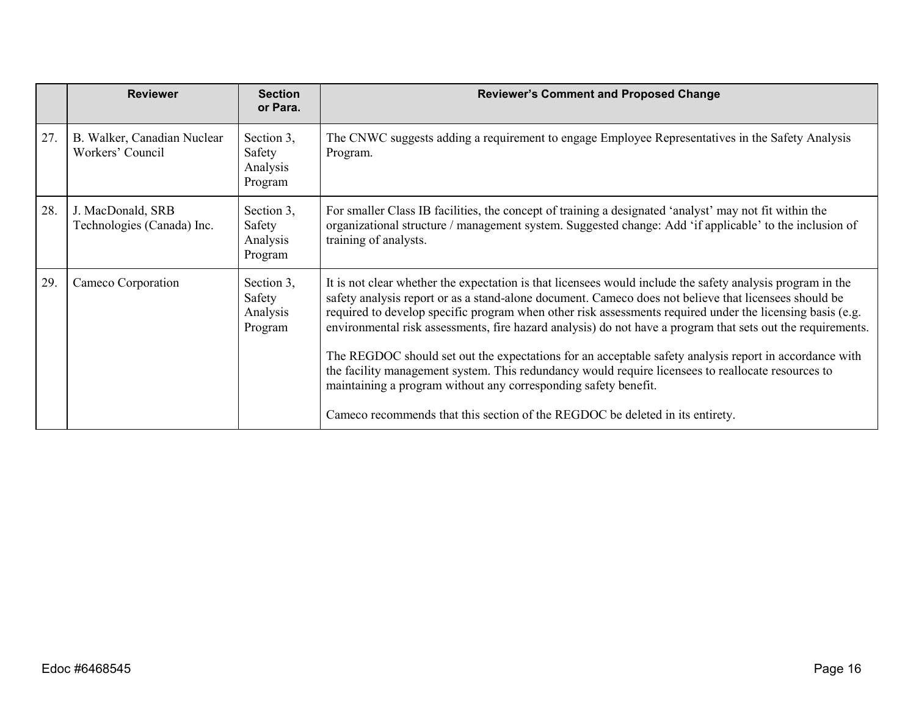|     | <b>Reviewer</b>                                 | <b>Section</b><br>or Para.                  | <b>Reviewer's Comment and Proposed Change</b>                                                                                                                                                                                                                                                                                                                                                                                                                                                                                                                                                                                                                                                                                                                                                                       |
|-----|-------------------------------------------------|---------------------------------------------|---------------------------------------------------------------------------------------------------------------------------------------------------------------------------------------------------------------------------------------------------------------------------------------------------------------------------------------------------------------------------------------------------------------------------------------------------------------------------------------------------------------------------------------------------------------------------------------------------------------------------------------------------------------------------------------------------------------------------------------------------------------------------------------------------------------------|
| 27. | B. Walker, Canadian Nuclear<br>Workers' Council | Section 3,<br>Safety<br>Analysis<br>Program | The CNWC suggests adding a requirement to engage Employee Representatives in the Safety Analysis<br>Program.                                                                                                                                                                                                                                                                                                                                                                                                                                                                                                                                                                                                                                                                                                        |
| 28. | J. MacDonald, SRB<br>Technologies (Canada) Inc. | Section 3,<br>Safety<br>Analysis<br>Program | For smaller Class IB facilities, the concept of training a designated 'analyst' may not fit within the<br>organizational structure / management system. Suggested change: Add 'if applicable' to the inclusion of<br>training of analysts.                                                                                                                                                                                                                                                                                                                                                                                                                                                                                                                                                                          |
| 29. | Cameco Corporation                              | Section 3,<br>Safety<br>Analysis<br>Program | It is not clear whether the expectation is that licensees would include the safety analysis program in the<br>safety analysis report or as a stand-alone document. Cameco does not believe that licensees should be<br>required to develop specific program when other risk assessments required under the licensing basis (e.g.<br>environmental risk assessments, fire hazard analysis) do not have a program that sets out the requirements.<br>The REGDOC should set out the expectations for an acceptable safety analysis report in accordance with<br>the facility management system. This redundancy would require licensees to reallocate resources to<br>maintaining a program without any corresponding safety benefit.<br>Cameco recommends that this section of the REGDOC be deleted in its entirety. |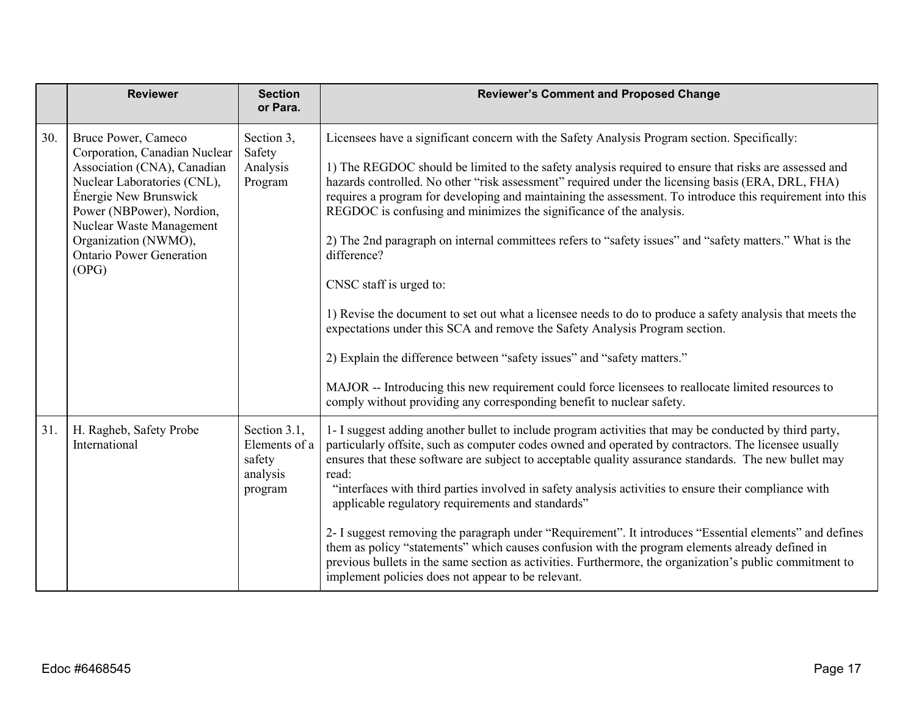|     | <b>Reviewer</b>                                                                                                                                                                                                                                                          | <b>Section</b><br>or Para.                                     | <b>Reviewer's Comment and Proposed Change</b>                                                                                                                                                                                                                                                                                                                                                                                                                                                                                                                                                                                                                                                                                                                                                                                                                                                                                                                                                                                                                                                             |
|-----|--------------------------------------------------------------------------------------------------------------------------------------------------------------------------------------------------------------------------------------------------------------------------|----------------------------------------------------------------|-----------------------------------------------------------------------------------------------------------------------------------------------------------------------------------------------------------------------------------------------------------------------------------------------------------------------------------------------------------------------------------------------------------------------------------------------------------------------------------------------------------------------------------------------------------------------------------------------------------------------------------------------------------------------------------------------------------------------------------------------------------------------------------------------------------------------------------------------------------------------------------------------------------------------------------------------------------------------------------------------------------------------------------------------------------------------------------------------------------|
| 30. | Bruce Power, Cameco<br>Corporation, Canadian Nuclear<br>Association (CNA), Canadian<br>Nuclear Laboratories (CNL),<br>Énergie New Brunswick<br>Power (NBPower), Nordion,<br>Nuclear Waste Management<br>Organization (NWMO),<br><b>Ontario Power Generation</b><br>(OPG) | Section 3,<br>Safety<br>Analysis<br>Program                    | Licensees have a significant concern with the Safety Analysis Program section. Specifically:<br>1) The REGDOC should be limited to the safety analysis required to ensure that risks are assessed and<br>hazards controlled. No other "risk assessment" required under the licensing basis (ERA, DRL, FHA)<br>requires a program for developing and maintaining the assessment. To introduce this requirement into this<br>REGDOC is confusing and minimizes the significance of the analysis.<br>2) The 2nd paragraph on internal committees refers to "safety issues" and "safety matters." What is the<br>difference?<br>CNSC staff is urged to:<br>1) Revise the document to set out what a licensee needs to do to produce a safety analysis that meets the<br>expectations under this SCA and remove the Safety Analysis Program section.<br>2) Explain the difference between "safety issues" and "safety matters."<br>MAJOR -- Introducing this new requirement could force licensees to reallocate limited resources to<br>comply without providing any corresponding benefit to nuclear safety. |
| 31. | H. Ragheb, Safety Probe<br>International                                                                                                                                                                                                                                 | Section 3.1,<br>Elements of a<br>safety<br>analysis<br>program | 1- I suggest adding another bullet to include program activities that may be conducted by third party,<br>particularly offsite, such as computer codes owned and operated by contractors. The licensee usually<br>ensures that these software are subject to acceptable quality assurance standards. The new bullet may<br>read:<br>"interfaces with third parties involved in safety analysis activities to ensure their compliance with<br>applicable regulatory requirements and standards"<br>2- I suggest removing the paragraph under "Requirement". It introduces "Essential elements" and defines<br>them as policy "statements" which causes confusion with the program elements already defined in<br>previous bullets in the same section as activities. Furthermore, the organization's public commitment to<br>implement policies does not appear to be relevant.                                                                                                                                                                                                                            |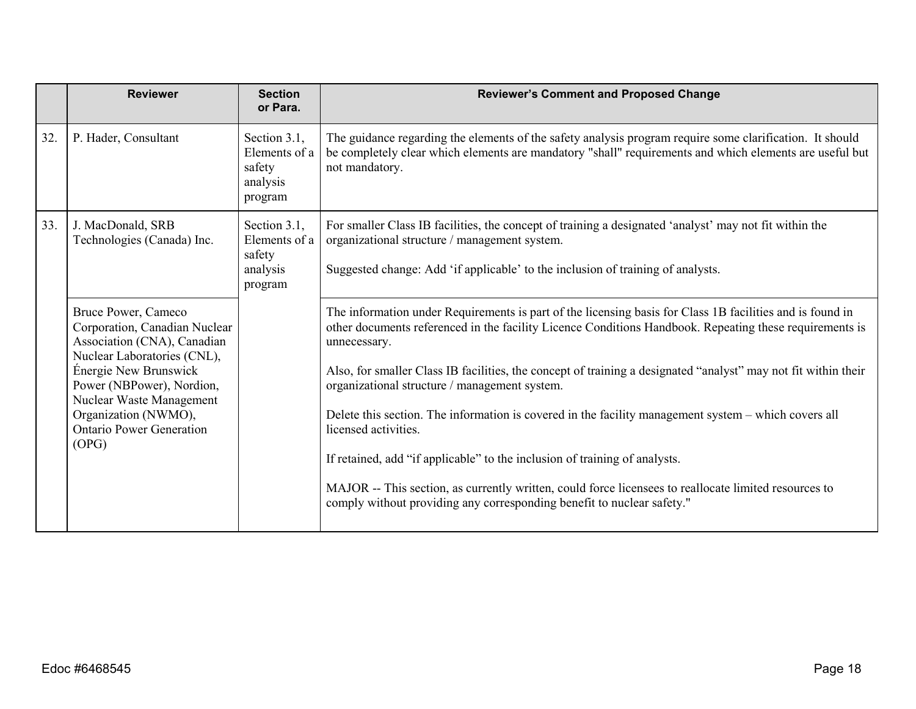|     | <b>Reviewer</b>                                                                                                                                                                                                                                                          | <b>Section</b><br>or Para.                                     | <b>Reviewer's Comment and Proposed Change</b>                                                                                                                                                                                                                                                                                                                                                                                                                                                                                                                                                                                                                                                                                                                                                            |
|-----|--------------------------------------------------------------------------------------------------------------------------------------------------------------------------------------------------------------------------------------------------------------------------|----------------------------------------------------------------|----------------------------------------------------------------------------------------------------------------------------------------------------------------------------------------------------------------------------------------------------------------------------------------------------------------------------------------------------------------------------------------------------------------------------------------------------------------------------------------------------------------------------------------------------------------------------------------------------------------------------------------------------------------------------------------------------------------------------------------------------------------------------------------------------------|
| 32. | P. Hader, Consultant                                                                                                                                                                                                                                                     | Section 3.1,<br>Elements of a<br>safety<br>analysis<br>program | The guidance regarding the elements of the safety analysis program require some clarification. It should<br>be completely clear which elements are mandatory "shall" requirements and which elements are useful but<br>not mandatory.                                                                                                                                                                                                                                                                                                                                                                                                                                                                                                                                                                    |
| 33. | J. MacDonald, SRB<br>Technologies (Canada) Inc.                                                                                                                                                                                                                          | Section 3.1,<br>Elements of a<br>safety<br>analysis<br>program | For smaller Class IB facilities, the concept of training a designated 'analyst' may not fit within the<br>organizational structure / management system.<br>Suggested change: Add 'if applicable' to the inclusion of training of analysts.                                                                                                                                                                                                                                                                                                                                                                                                                                                                                                                                                               |
|     | Bruce Power, Cameco<br>Corporation, Canadian Nuclear<br>Association (CNA), Canadian<br>Nuclear Laboratories (CNL),<br>Énergie New Brunswick<br>Power (NBPower), Nordion,<br>Nuclear Waste Management<br>Organization (NWMO),<br><b>Ontario Power Generation</b><br>(OPG) |                                                                | The information under Requirements is part of the licensing basis for Class 1B facilities and is found in<br>other documents referenced in the facility Licence Conditions Handbook. Repeating these requirements is<br>unnecessary.<br>Also, for smaller Class IB facilities, the concept of training a designated "analyst" may not fit within their<br>organizational structure / management system.<br>Delete this section. The information is covered in the facility management system – which covers all<br>licensed activities.<br>If retained, add "if applicable" to the inclusion of training of analysts.<br>MAJOR -- This section, as currently written, could force licensees to reallocate limited resources to<br>comply without providing any corresponding benefit to nuclear safety." |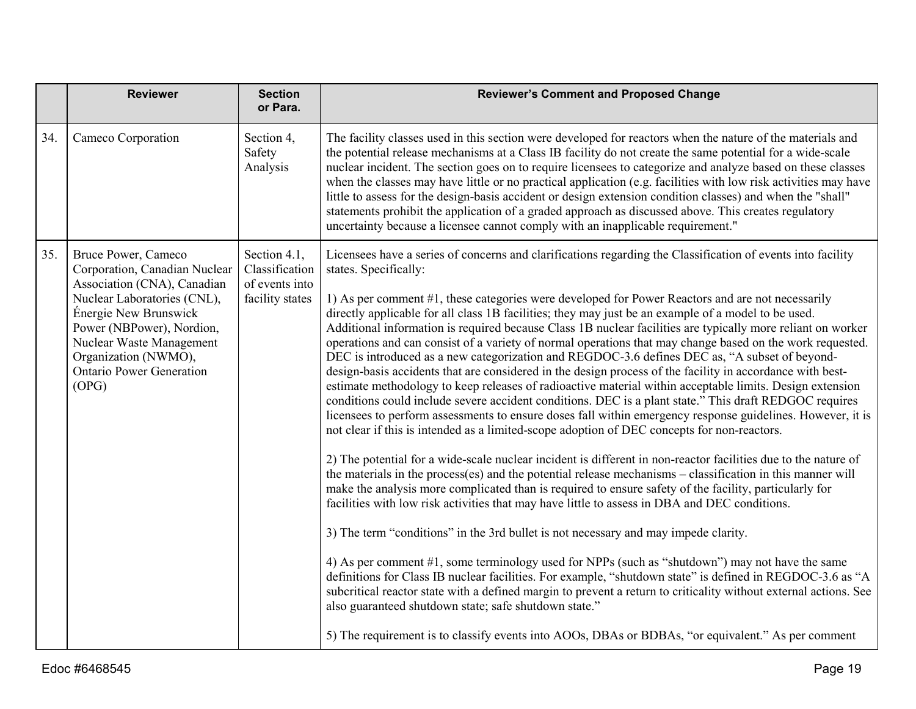|     | <b>Reviewer</b>                                                                                                                                                                                                                                                          | <b>Section</b><br>or Para.                                          | <b>Reviewer's Comment and Proposed Change</b>                                                                                                                                                                                                                                                                                                                                                                                                                                                                                                                                                                                                                                                                                                                                                                                                                                                                                                                                                                                                                                                                                                                                                                                                                                                                                                                                                                                                                                                                                                                                                                                                                                                                                                                                                                                                                                                                                                                                                                                                                                                                                                                                                                                                                     |
|-----|--------------------------------------------------------------------------------------------------------------------------------------------------------------------------------------------------------------------------------------------------------------------------|---------------------------------------------------------------------|-------------------------------------------------------------------------------------------------------------------------------------------------------------------------------------------------------------------------------------------------------------------------------------------------------------------------------------------------------------------------------------------------------------------------------------------------------------------------------------------------------------------------------------------------------------------------------------------------------------------------------------------------------------------------------------------------------------------------------------------------------------------------------------------------------------------------------------------------------------------------------------------------------------------------------------------------------------------------------------------------------------------------------------------------------------------------------------------------------------------------------------------------------------------------------------------------------------------------------------------------------------------------------------------------------------------------------------------------------------------------------------------------------------------------------------------------------------------------------------------------------------------------------------------------------------------------------------------------------------------------------------------------------------------------------------------------------------------------------------------------------------------------------------------------------------------------------------------------------------------------------------------------------------------------------------------------------------------------------------------------------------------------------------------------------------------------------------------------------------------------------------------------------------------------------------------------------------------------------------------------------------------|
| 34. | Cameco Corporation                                                                                                                                                                                                                                                       | Section 4,<br>Safety<br>Analysis                                    | The facility classes used in this section were developed for reactors when the nature of the materials and<br>the potential release mechanisms at a Class IB facility do not create the same potential for a wide-scale<br>nuclear incident. The section goes on to require licensees to categorize and analyze based on these classes<br>when the classes may have little or no practical application (e.g. facilities with low risk activities may have<br>little to assess for the design-basis accident or design extension condition classes) and when the "shall"<br>statements prohibit the application of a graded approach as discussed above. This creates regulatory<br>uncertainty because a licensee cannot comply with an inapplicable requirement."                                                                                                                                                                                                                                                                                                                                                                                                                                                                                                                                                                                                                                                                                                                                                                                                                                                                                                                                                                                                                                                                                                                                                                                                                                                                                                                                                                                                                                                                                                |
| 35. | Bruce Power, Cameco<br>Corporation, Canadian Nuclear<br>Association (CNA), Canadian<br>Nuclear Laboratories (CNL),<br>Énergie New Brunswick<br>Power (NBPower), Nordion,<br>Nuclear Waste Management<br>Organization (NWMO),<br><b>Ontario Power Generation</b><br>(OPG) | Section 4.1,<br>Classification<br>of events into<br>facility states | Licensees have a series of concerns and clarifications regarding the Classification of events into facility<br>states. Specifically:<br>1) As per comment #1, these categories were developed for Power Reactors and are not necessarily<br>directly applicable for all class 1B facilities; they may just be an example of a model to be used.<br>Additional information is required because Class 1B nuclear facilities are typically more reliant on worker<br>operations and can consist of a variety of normal operations that may change based on the work requested.<br>DEC is introduced as a new categorization and REGDOC-3.6 defines DEC as, "A subset of beyond-<br>design-basis accidents that are considered in the design process of the facility in accordance with best-<br>estimate methodology to keep releases of radioactive material within acceptable limits. Design extension<br>conditions could include severe accident conditions. DEC is a plant state." This draft REDGOC requires<br>licensees to perform assessments to ensure doses fall within emergency response guidelines. However, it is<br>not clear if this is intended as a limited-scope adoption of DEC concepts for non-reactors.<br>2) The potential for a wide-scale nuclear incident is different in non-reactor facilities due to the nature of<br>the materials in the process(es) and the potential release mechanisms – classification in this manner will<br>make the analysis more complicated than is required to ensure safety of the facility, particularly for<br>facilities with low risk activities that may have little to assess in DBA and DEC conditions.<br>3) The term "conditions" in the 3rd bullet is not necessary and may impede clarity.<br>4) As per comment #1, some terminology used for NPPs (such as "shutdown") may not have the same<br>definitions for Class IB nuclear facilities. For example, "shutdown state" is defined in REGDOC-3.6 as "A<br>subcritical reactor state with a defined margin to prevent a return to criticality without external actions. See<br>also guaranteed shutdown state; safe shutdown state."<br>5) The requirement is to classify events into AOOs, DBAs or BDBAs, "or equivalent." As per comment |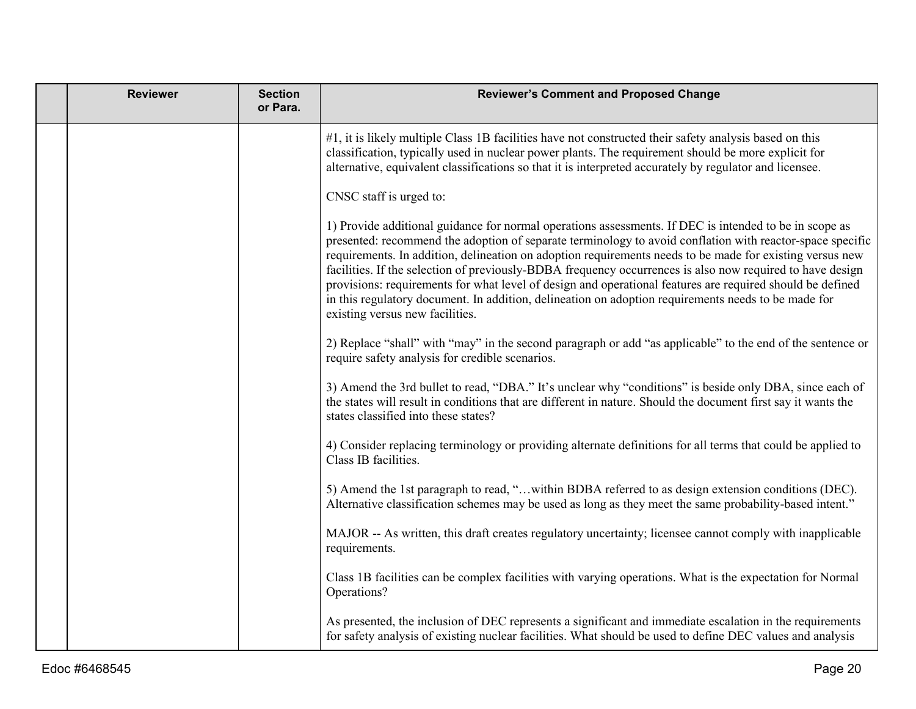| <b>Reviewer</b> | <b>Section</b><br>or Para. | <b>Reviewer's Comment and Proposed Change</b>                                                                                                                                                                                                                                                                                                                                                                                                                                                                                                                                                                                                                                                       |
|-----------------|----------------------------|-----------------------------------------------------------------------------------------------------------------------------------------------------------------------------------------------------------------------------------------------------------------------------------------------------------------------------------------------------------------------------------------------------------------------------------------------------------------------------------------------------------------------------------------------------------------------------------------------------------------------------------------------------------------------------------------------------|
|                 |                            | #1, it is likely multiple Class 1B facilities have not constructed their safety analysis based on this<br>classification, typically used in nuclear power plants. The requirement should be more explicit for<br>alternative, equivalent classifications so that it is interpreted accurately by regulator and licensee.                                                                                                                                                                                                                                                                                                                                                                            |
|                 |                            | CNSC staff is urged to:                                                                                                                                                                                                                                                                                                                                                                                                                                                                                                                                                                                                                                                                             |
|                 |                            | 1) Provide additional guidance for normal operations assessments. If DEC is intended to be in scope as<br>presented: recommend the adoption of separate terminology to avoid conflation with reactor-space specific<br>requirements. In addition, delineation on adoption requirements needs to be made for existing versus new<br>facilities. If the selection of previously-BDBA frequency occurrences is also now required to have design<br>provisions: requirements for what level of design and operational features are required should be defined<br>in this regulatory document. In addition, delineation on adoption requirements needs to be made for<br>existing versus new facilities. |
|                 |                            | 2) Replace "shall" with "may" in the second paragraph or add "as applicable" to the end of the sentence or<br>require safety analysis for credible scenarios.                                                                                                                                                                                                                                                                                                                                                                                                                                                                                                                                       |
|                 |                            | 3) Amend the 3rd bullet to read, "DBA." It's unclear why "conditions" is beside only DBA, since each of<br>the states will result in conditions that are different in nature. Should the document first say it wants the<br>states classified into these states?                                                                                                                                                                                                                                                                                                                                                                                                                                    |
|                 |                            | 4) Consider replacing terminology or providing alternate definitions for all terms that could be applied to<br>Class IB facilities.                                                                                                                                                                                                                                                                                                                                                                                                                                                                                                                                                                 |
|                 |                            | 5) Amend the 1st paragraph to read, "within BDBA referred to as design extension conditions (DEC).<br>Alternative classification schemes may be used as long as they meet the same probability-based intent."                                                                                                                                                                                                                                                                                                                                                                                                                                                                                       |
|                 |                            | MAJOR -- As written, this draft creates regulatory uncertainty; licensee cannot comply with inapplicable<br>requirements.                                                                                                                                                                                                                                                                                                                                                                                                                                                                                                                                                                           |
|                 |                            | Class 1B facilities can be complex facilities with varying operations. What is the expectation for Normal<br>Operations?                                                                                                                                                                                                                                                                                                                                                                                                                                                                                                                                                                            |
|                 |                            | As presented, the inclusion of DEC represents a significant and immediate escalation in the requirements<br>for safety analysis of existing nuclear facilities. What should be used to define DEC values and analysis                                                                                                                                                                                                                                                                                                                                                                                                                                                                               |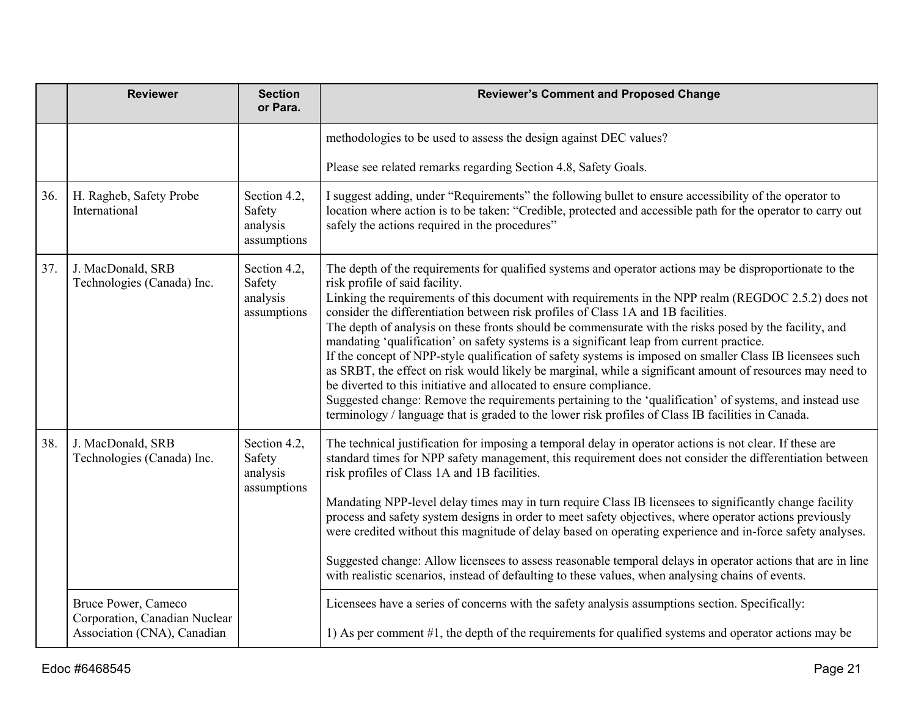|     | <b>Reviewer</b>                                                                     | <b>Section</b><br>or Para.                        | <b>Reviewer's Comment and Proposed Change</b>                                                                                                                                                                                                                                                                                                                                                                                                                                                                                                                                                                                                                                                                                                                                                                                                                                                                                                                                                                                                                 |
|-----|-------------------------------------------------------------------------------------|---------------------------------------------------|---------------------------------------------------------------------------------------------------------------------------------------------------------------------------------------------------------------------------------------------------------------------------------------------------------------------------------------------------------------------------------------------------------------------------------------------------------------------------------------------------------------------------------------------------------------------------------------------------------------------------------------------------------------------------------------------------------------------------------------------------------------------------------------------------------------------------------------------------------------------------------------------------------------------------------------------------------------------------------------------------------------------------------------------------------------|
|     |                                                                                     |                                                   | methodologies to be used to assess the design against DEC values?                                                                                                                                                                                                                                                                                                                                                                                                                                                                                                                                                                                                                                                                                                                                                                                                                                                                                                                                                                                             |
|     |                                                                                     |                                                   | Please see related remarks regarding Section 4.8, Safety Goals.                                                                                                                                                                                                                                                                                                                                                                                                                                                                                                                                                                                                                                                                                                                                                                                                                                                                                                                                                                                               |
| 36. | H. Ragheb, Safety Probe<br>International                                            | Section 4.2,<br>Safety<br>analysis<br>assumptions | I suggest adding, under "Requirements" the following bullet to ensure accessibility of the operator to<br>location where action is to be taken: "Credible, protected and accessible path for the operator to carry out<br>safely the actions required in the procedures"                                                                                                                                                                                                                                                                                                                                                                                                                                                                                                                                                                                                                                                                                                                                                                                      |
| 37. | J. MacDonald, SRB<br>Technologies (Canada) Inc.                                     | Section 4.2,<br>Safety<br>analysis<br>assumptions | The depth of the requirements for qualified systems and operator actions may be disproportionate to the<br>risk profile of said facility.<br>Linking the requirements of this document with requirements in the NPP realm (REGDOC 2.5.2) does not<br>consider the differentiation between risk profiles of Class 1A and 1B facilities.<br>The depth of analysis on these fronts should be commensurate with the risks posed by the facility, and<br>mandating 'qualification' on safety systems is a significant leap from current practice.<br>If the concept of NPP-style qualification of safety systems is imposed on smaller Class IB licensees such<br>as SRBT, the effect on risk would likely be marginal, while a significant amount of resources may need to<br>be diverted to this initiative and allocated to ensure compliance.<br>Suggested change: Remove the requirements pertaining to the 'qualification' of systems, and instead use<br>terminology / language that is graded to the lower risk profiles of Class IB facilities in Canada. |
| 38. | J. MacDonald, SRB<br>Technologies (Canada) Inc.                                     | Section 4.2,<br>Safety<br>analysis<br>assumptions | The technical justification for imposing a temporal delay in operator actions is not clear. If these are<br>standard times for NPP safety management, this requirement does not consider the differentiation between<br>risk profiles of Class 1A and 1B facilities.<br>Mandating NPP-level delay times may in turn require Class IB licensees to significantly change facility<br>process and safety system designs in order to meet safety objectives, where operator actions previously<br>were credited without this magnitude of delay based on operating experience and in-force safety analyses.<br>Suggested change: Allow licensees to assess reasonable temporal delays in operator actions that are in line<br>with realistic scenarios, instead of defaulting to these values, when analysing chains of events.                                                                                                                                                                                                                                   |
|     | Bruce Power, Cameco<br>Corporation, Canadian Nuclear<br>Association (CNA), Canadian |                                                   | Licensees have a series of concerns with the safety analysis assumptions section. Specifically:<br>1) As per comment #1, the depth of the requirements for qualified systems and operator actions may be                                                                                                                                                                                                                                                                                                                                                                                                                                                                                                                                                                                                                                                                                                                                                                                                                                                      |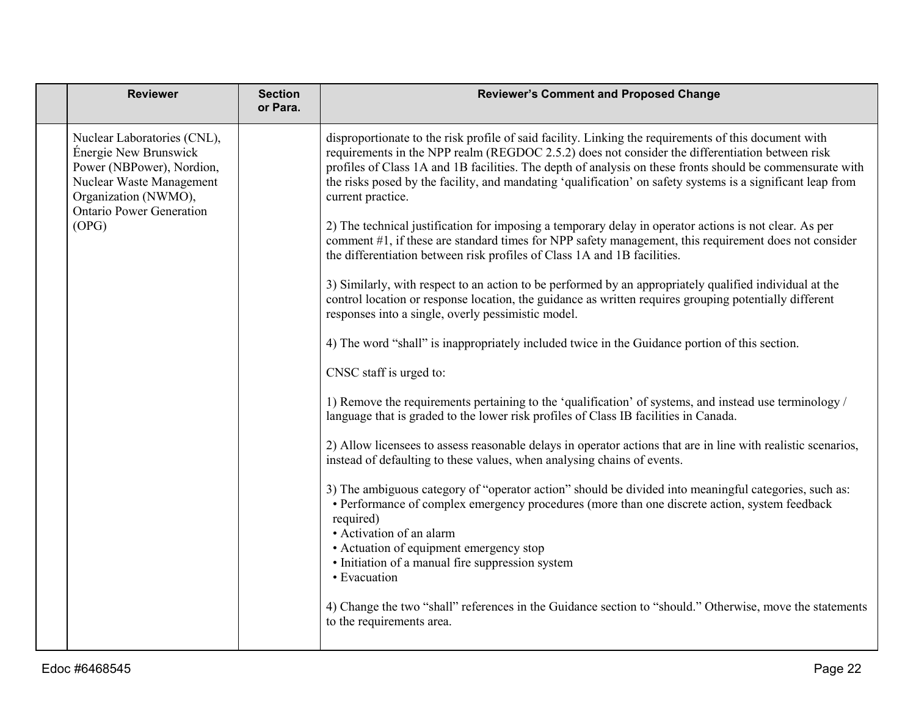|  | <b>Reviewer</b>                                                                                                                                                                   | <b>Section</b><br>or Para. | <b>Reviewer's Comment and Proposed Change</b>                                                                                                                                                                                                                                                                                                                                                                                                             |
|--|-----------------------------------------------------------------------------------------------------------------------------------------------------------------------------------|----------------------------|-----------------------------------------------------------------------------------------------------------------------------------------------------------------------------------------------------------------------------------------------------------------------------------------------------------------------------------------------------------------------------------------------------------------------------------------------------------|
|  | Nuclear Laboratories (CNL),<br>Énergie New Brunswick<br>Power (NBPower), Nordion,<br>Nuclear Waste Management<br>Organization (NWMO),<br><b>Ontario Power Generation</b><br>(OPG) |                            | disproportionate to the risk profile of said facility. Linking the requirements of this document with<br>requirements in the NPP realm (REGDOC 2.5.2) does not consider the differentiation between risk<br>profiles of Class 1A and 1B facilities. The depth of analysis on these fronts should be commensurate with<br>the risks posed by the facility, and mandating 'qualification' on safety systems is a significant leap from<br>current practice. |
|  |                                                                                                                                                                                   |                            | 2) The technical justification for imposing a temporary delay in operator actions is not clear. As per<br>comment #1, if these are standard times for NPP safety management, this requirement does not consider<br>the differentiation between risk profiles of Class 1A and 1B facilities.                                                                                                                                                               |
|  |                                                                                                                                                                                   |                            | 3) Similarly, with respect to an action to be performed by an appropriately qualified individual at the<br>control location or response location, the guidance as written requires grouping potentially different<br>responses into a single, overly pessimistic model.                                                                                                                                                                                   |
|  |                                                                                                                                                                                   |                            | 4) The word "shall" is inappropriately included twice in the Guidance portion of this section.                                                                                                                                                                                                                                                                                                                                                            |
|  |                                                                                                                                                                                   |                            | CNSC staff is urged to:                                                                                                                                                                                                                                                                                                                                                                                                                                   |
|  |                                                                                                                                                                                   |                            | 1) Remove the requirements pertaining to the 'qualification' of systems, and instead use terminology /<br>language that is graded to the lower risk profiles of Class IB facilities in Canada.                                                                                                                                                                                                                                                            |
|  |                                                                                                                                                                                   |                            | 2) Allow licensees to assess reasonable delays in operator actions that are in line with realistic scenarios,<br>instead of defaulting to these values, when analysing chains of events.                                                                                                                                                                                                                                                                  |
|  |                                                                                                                                                                                   |                            | 3) The ambiguous category of "operator action" should be divided into meaningful categories, such as:<br>• Performance of complex emergency procedures (more than one discrete action, system feedback<br>required)<br>• Activation of an alarm<br>• Actuation of equipment emergency stop<br>• Initiation of a manual fire suppression system<br>• Evacuation                                                                                            |
|  |                                                                                                                                                                                   |                            | 4) Change the two "shall" references in the Guidance section to "should." Otherwise, move the statements<br>to the requirements area.                                                                                                                                                                                                                                                                                                                     |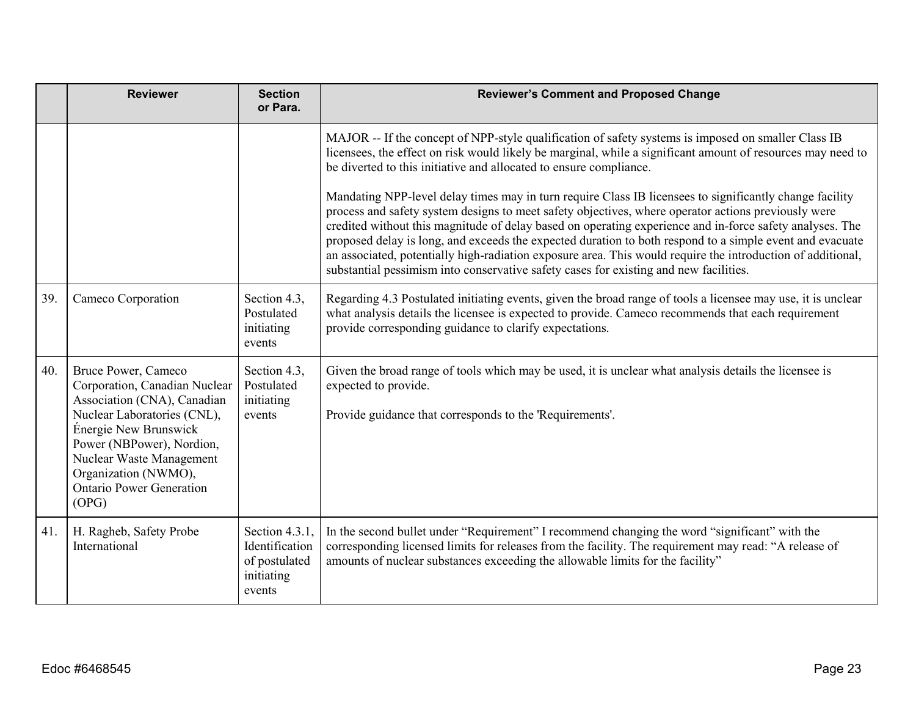|     | <b>Reviewer</b>                                                                                                                                                                                                                                                          | <b>Section</b><br>or Para.                                                | <b>Reviewer's Comment and Proposed Change</b>                                                                                                                                                                                                                                                                                                                                                                                                                                                                                                                                                                                                  |
|-----|--------------------------------------------------------------------------------------------------------------------------------------------------------------------------------------------------------------------------------------------------------------------------|---------------------------------------------------------------------------|------------------------------------------------------------------------------------------------------------------------------------------------------------------------------------------------------------------------------------------------------------------------------------------------------------------------------------------------------------------------------------------------------------------------------------------------------------------------------------------------------------------------------------------------------------------------------------------------------------------------------------------------|
|     |                                                                                                                                                                                                                                                                          |                                                                           | MAJOR -- If the concept of NPP-style qualification of safety systems is imposed on smaller Class IB<br>licensees, the effect on risk would likely be marginal, while a significant amount of resources may need to<br>be diverted to this initiative and allocated to ensure compliance.                                                                                                                                                                                                                                                                                                                                                       |
|     |                                                                                                                                                                                                                                                                          |                                                                           | Mandating NPP-level delay times may in turn require Class IB licensees to significantly change facility<br>process and safety system designs to meet safety objectives, where operator actions previously were<br>credited without this magnitude of delay based on operating experience and in-force safety analyses. The<br>proposed delay is long, and exceeds the expected duration to both respond to a simple event and evacuate<br>an associated, potentially high-radiation exposure area. This would require the introduction of additional,<br>substantial pessimism into conservative safety cases for existing and new facilities. |
| 39. | Cameco Corporation                                                                                                                                                                                                                                                       | Section 4.3,<br>Postulated<br>initiating<br>events                        | Regarding 4.3 Postulated initiating events, given the broad range of tools a licensee may use, it is unclear<br>what analysis details the licensee is expected to provide. Cameco recommends that each requirement<br>provide corresponding guidance to clarify expectations.                                                                                                                                                                                                                                                                                                                                                                  |
| 40. | Bruce Power, Cameco<br>Corporation, Canadian Nuclear<br>Association (CNA), Canadian<br>Nuclear Laboratories (CNL),<br>Énergie New Brunswick<br>Power (NBPower), Nordion,<br>Nuclear Waste Management<br>Organization (NWMO),<br><b>Ontario Power Generation</b><br>(OPG) | Section 4.3,<br>Postulated<br>initiating<br>events                        | Given the broad range of tools which may be used, it is unclear what analysis details the licensee is<br>expected to provide.<br>Provide guidance that corresponds to the 'Requirements'.                                                                                                                                                                                                                                                                                                                                                                                                                                                      |
| 41. | H. Ragheb, Safety Probe<br>International                                                                                                                                                                                                                                 | Section 4.3.1,<br>Identification<br>of postulated<br>initiating<br>events | In the second bullet under "Requirement" I recommend changing the word "significant" with the<br>corresponding licensed limits for releases from the facility. The requirement may read: "A release of<br>amounts of nuclear substances exceeding the allowable limits for the facility"                                                                                                                                                                                                                                                                                                                                                       |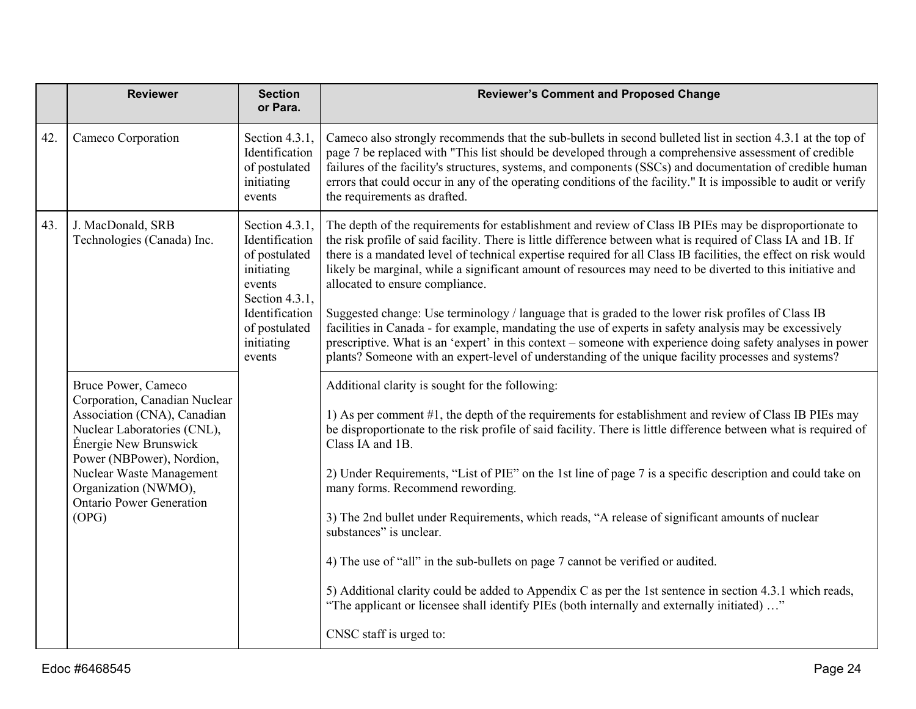|     | <b>Reviewer</b>                                                                                                                                                                                                                                                          | <b>Section</b><br>or Para.                                                                                                                   | <b>Reviewer's Comment and Proposed Change</b>                                                                                                                                                                                                                                                                                                                                                                                                                                                                                                                                                                                                                                                                                                                                                                                                                                                                                    |
|-----|--------------------------------------------------------------------------------------------------------------------------------------------------------------------------------------------------------------------------------------------------------------------------|----------------------------------------------------------------------------------------------------------------------------------------------|----------------------------------------------------------------------------------------------------------------------------------------------------------------------------------------------------------------------------------------------------------------------------------------------------------------------------------------------------------------------------------------------------------------------------------------------------------------------------------------------------------------------------------------------------------------------------------------------------------------------------------------------------------------------------------------------------------------------------------------------------------------------------------------------------------------------------------------------------------------------------------------------------------------------------------|
| 42. | Cameco Corporation                                                                                                                                                                                                                                                       | Section 4.3.1,<br>Identification<br>of postulated<br>initiating<br>events                                                                    | Cameco also strongly recommends that the sub-bullets in second bulleted list in section 4.3.1 at the top of<br>page 7 be replaced with "This list should be developed through a comprehensive assessment of credible<br>failures of the facility's structures, systems, and components (SSCs) and documentation of credible human<br>errors that could occur in any of the operating conditions of the facility." It is impossible to audit or verify<br>the requirements as drafted.                                                                                                                                                                                                                                                                                                                                                                                                                                            |
| 43. | J. MacDonald, SRB<br>Technologies (Canada) Inc.<br>events                                                                                                                                                                                                                | Section 4.3.1,<br>Identification<br>of postulated<br>initiating<br>Section 4.3.1,<br>Identification<br>of postulated<br>initiating<br>events | The depth of the requirements for establishment and review of Class IB PIEs may be disproportionate to<br>the risk profile of said facility. There is little difference between what is required of Class IA and 1B. If<br>there is a mandated level of technical expertise required for all Class IB facilities, the effect on risk would<br>likely be marginal, while a significant amount of resources may need to be diverted to this initiative and<br>allocated to ensure compliance.<br>Suggested change: Use terminology / language that is graded to the lower risk profiles of Class IB<br>facilities in Canada - for example, mandating the use of experts in safety analysis may be excessively<br>prescriptive. What is an 'expert' in this context – someone with experience doing safety analyses in power<br>plants? Someone with an expert-level of understanding of the unique facility processes and systems? |
|     | Bruce Power, Cameco<br>Corporation, Canadian Nuclear<br>Association (CNA), Canadian<br>Nuclear Laboratories (CNL),<br>Énergie New Brunswick<br>Power (NBPower), Nordion,<br>Nuclear Waste Management<br>Organization (NWMO),<br><b>Ontario Power Generation</b><br>(OPG) |                                                                                                                                              | Additional clarity is sought for the following:<br>1) As per comment #1, the depth of the requirements for establishment and review of Class IB PIEs may<br>be disproportionate to the risk profile of said facility. There is little difference between what is required of<br>Class IA and 1B.<br>2) Under Requirements, "List of PIE" on the 1st line of page 7 is a specific description and could take on<br>many forms. Recommend rewording.<br>3) The 2nd bullet under Requirements, which reads, "A release of significant amounts of nuclear<br>substances" is unclear.<br>4) The use of "all" in the sub-bullets on page 7 cannot be verified or audited.<br>5) Additional clarity could be added to Appendix C as per the 1st sentence in section 4.3.1 which reads,<br>"The applicant or licensee shall identify PIEs (both internally and externally initiated)"<br>CNSC staff is urged to:                         |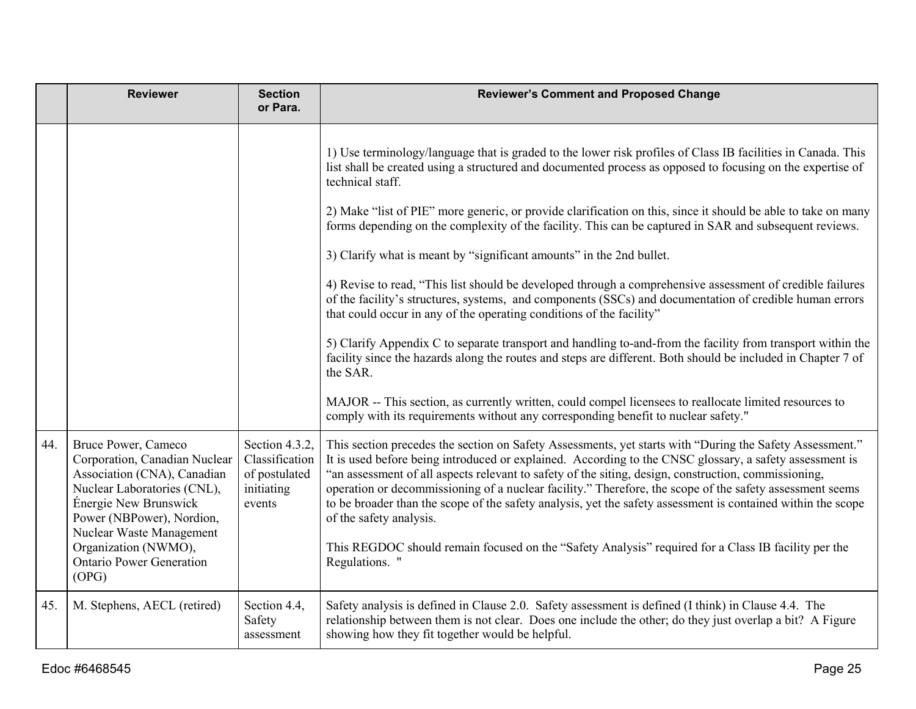|     | <b>Reviewer</b>                                                                                                                                                                                                                                                          | <b>Section</b><br>or Para.                                                | <b>Reviewer's Comment and Proposed Change</b>                                                                                                                                                                                                                                                                                                                                                                                                                                                                                                                                                                                                                                                                                                                                                                                                                                                                                                                                                                                                                                                                                                                                                                                                                                                |
|-----|--------------------------------------------------------------------------------------------------------------------------------------------------------------------------------------------------------------------------------------------------------------------------|---------------------------------------------------------------------------|----------------------------------------------------------------------------------------------------------------------------------------------------------------------------------------------------------------------------------------------------------------------------------------------------------------------------------------------------------------------------------------------------------------------------------------------------------------------------------------------------------------------------------------------------------------------------------------------------------------------------------------------------------------------------------------------------------------------------------------------------------------------------------------------------------------------------------------------------------------------------------------------------------------------------------------------------------------------------------------------------------------------------------------------------------------------------------------------------------------------------------------------------------------------------------------------------------------------------------------------------------------------------------------------|
|     |                                                                                                                                                                                                                                                                          |                                                                           | 1) Use terminology/language that is graded to the lower risk profiles of Class IB facilities in Canada. This<br>list shall be created using a structured and documented process as opposed to focusing on the expertise of<br>technical staff.<br>2) Make "list of PIE" more generic, or provide clarification on this, since it should be able to take on many<br>forms depending on the complexity of the facility. This can be captured in SAR and subsequent reviews.<br>3) Clarify what is meant by "significant amounts" in the 2nd bullet.<br>4) Revise to read, "This list should be developed through a comprehensive assessment of credible failures<br>of the facility's structures, systems, and components (SSCs) and documentation of credible human errors<br>that could occur in any of the operating conditions of the facility"<br>5) Clarify Appendix C to separate transport and handling to-and-from the facility from transport within the<br>facility since the hazards along the routes and steps are different. Both should be included in Chapter 7 of<br>the SAR.<br>MAJOR -- This section, as currently written, could compel licensees to reallocate limited resources to<br>comply with its requirements without any corresponding benefit to nuclear safety." |
| 44. | Bruce Power, Cameco<br>Corporation, Canadian Nuclear<br>Association (CNA), Canadian<br>Nuclear Laboratories (CNL),<br>Énergie New Brunswick<br>Power (NBPower), Nordion,<br>Nuclear Waste Management<br>Organization (NWMO),<br><b>Ontario Power Generation</b><br>(OPG) | Section 4.3.2,<br>Classification<br>of postulated<br>initiating<br>events | This section precedes the section on Safety Assessments, yet starts with "During the Safety Assessment."<br>It is used before being introduced or explained. According to the CNSC glossary, a safety assessment is<br>an assessment of all aspects relevant to safety of the siting, design, construction, commissioning,<br>operation or decommissioning of a nuclear facility." Therefore, the scope of the safety assessment seems<br>to be broader than the scope of the safety analysis, yet the safety assessment is contained within the scope<br>of the safety analysis.<br>This REGDOC should remain focused on the "Safety Analysis" required for a Class IB facility per the<br>Regulations. "                                                                                                                                                                                                                                                                                                                                                                                                                                                                                                                                                                                   |
| 45. | M. Stephens, AECL (retired)                                                                                                                                                                                                                                              | Section 4.4,<br>Safety<br>assessment                                      | Safety analysis is defined in Clause 2.0. Safety assessment is defined (I think) in Clause 4.4. The<br>relationship between them is not clear. Does one include the other; do they just overlap a bit? A Figure<br>showing how they fit together would be helpful.                                                                                                                                                                                                                                                                                                                                                                                                                                                                                                                                                                                                                                                                                                                                                                                                                                                                                                                                                                                                                           |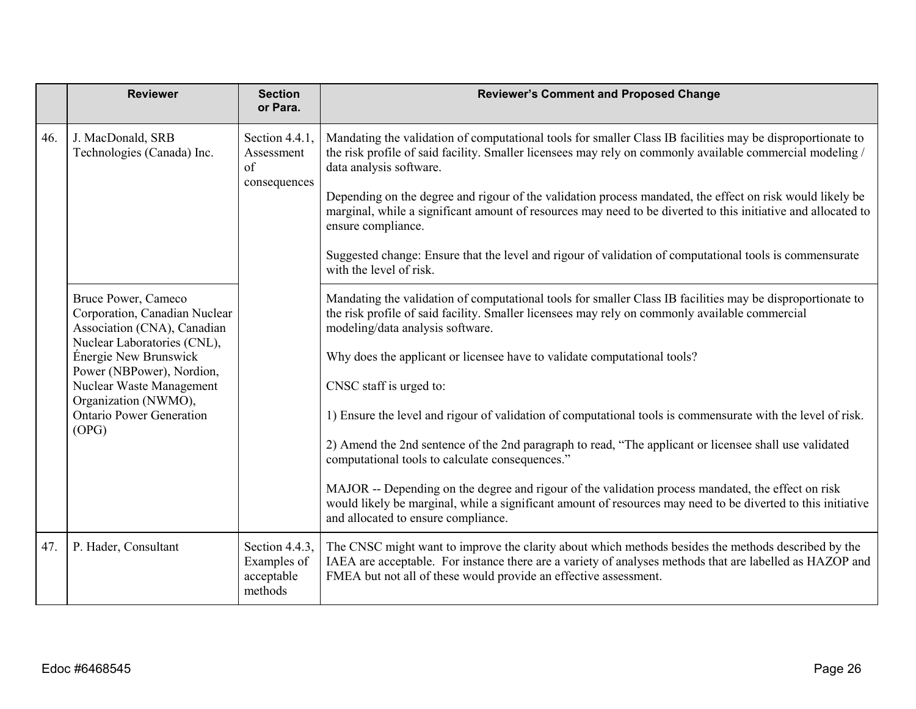|     | <b>Reviewer</b>                                                                                                                                                                                                                                                          | <b>Section</b><br>or Para.                             | <b>Reviewer's Comment and Proposed Change</b>                                                                                                                                                                                                                                                                                                                                                                                                                                                                                                                                                                                                                                                                                                                                                                                                                                                    |
|-----|--------------------------------------------------------------------------------------------------------------------------------------------------------------------------------------------------------------------------------------------------------------------------|--------------------------------------------------------|--------------------------------------------------------------------------------------------------------------------------------------------------------------------------------------------------------------------------------------------------------------------------------------------------------------------------------------------------------------------------------------------------------------------------------------------------------------------------------------------------------------------------------------------------------------------------------------------------------------------------------------------------------------------------------------------------------------------------------------------------------------------------------------------------------------------------------------------------------------------------------------------------|
| 46. | J. MacDonald, SRB<br>Technologies (Canada) Inc.<br>of                                                                                                                                                                                                                    | Section 4.4.1,<br>Assessment<br>consequences           | Mandating the validation of computational tools for smaller Class IB facilities may be disproportionate to<br>the risk profile of said facility. Smaller licensees may rely on commonly available commercial modeling /<br>data analysis software.<br>Depending on the degree and rigour of the validation process mandated, the effect on risk would likely be<br>marginal, while a significant amount of resources may need to be diverted to this initiative and allocated to<br>ensure compliance.<br>Suggested change: Ensure that the level and rigour of validation of computational tools is commensurate<br>with the level of risk.                                                                                                                                                                                                                                                     |
|     | Bruce Power, Cameco<br>Corporation, Canadian Nuclear<br>Association (CNA), Canadian<br>Nuclear Laboratories (CNL),<br>Énergie New Brunswick<br>Power (NBPower), Nordion,<br>Nuclear Waste Management<br>Organization (NWMO),<br><b>Ontario Power Generation</b><br>(OPG) |                                                        | Mandating the validation of computational tools for smaller Class IB facilities may be disproportionate to<br>the risk profile of said facility. Smaller licensees may rely on commonly available commercial<br>modeling/data analysis software.<br>Why does the applicant or licensee have to validate computational tools?<br>CNSC staff is urged to:<br>1) Ensure the level and rigour of validation of computational tools is commensurate with the level of risk.<br>2) Amend the 2nd sentence of the 2nd paragraph to read, "The applicant or licensee shall use validated<br>computational tools to calculate consequences."<br>MAJOR -- Depending on the degree and rigour of the validation process mandated, the effect on risk<br>would likely be marginal, while a significant amount of resources may need to be diverted to this initiative<br>and allocated to ensure compliance. |
| 47. | P. Hader, Consultant                                                                                                                                                                                                                                                     | Section 4.4.3,<br>Examples of<br>acceptable<br>methods | The CNSC might want to improve the clarity about which methods besides the methods described by the<br>IAEA are acceptable. For instance there are a variety of analyses methods that are labelled as HAZOP and<br>FMEA but not all of these would provide an effective assessment.                                                                                                                                                                                                                                                                                                                                                                                                                                                                                                                                                                                                              |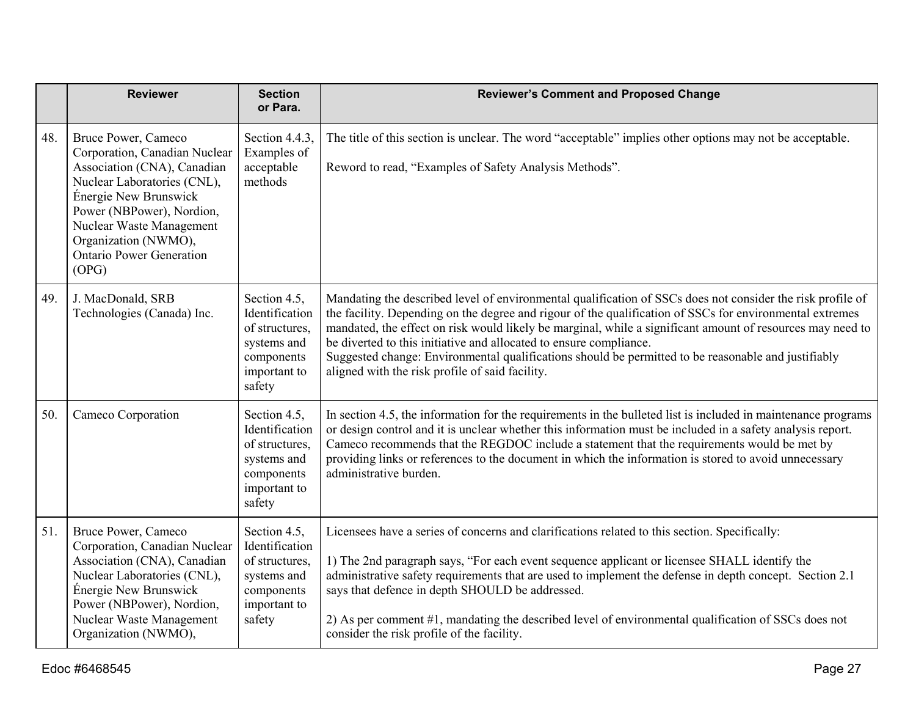|     | <b>Reviewer</b>                                                                                                                                                                                                                                                          | <b>Section</b><br>or Para.                                                                              | <b>Reviewer's Comment and Proposed Change</b>                                                                                                                                                                                                                                                                                                                                                                                                                                                                                                                        |
|-----|--------------------------------------------------------------------------------------------------------------------------------------------------------------------------------------------------------------------------------------------------------------------------|---------------------------------------------------------------------------------------------------------|----------------------------------------------------------------------------------------------------------------------------------------------------------------------------------------------------------------------------------------------------------------------------------------------------------------------------------------------------------------------------------------------------------------------------------------------------------------------------------------------------------------------------------------------------------------------|
| 48. | Bruce Power, Cameco<br>Corporation, Canadian Nuclear<br>Association (CNA), Canadian<br>Nuclear Laboratories (CNL),<br>Énergie New Brunswick<br>Power (NBPower), Nordion,<br>Nuclear Waste Management<br>Organization (NWMO),<br><b>Ontario Power Generation</b><br>(OPG) | Section 4.4.3,<br>Examples of<br>acceptable<br>methods                                                  | The title of this section is unclear. The word "acceptable" implies other options may not be acceptable.<br>Reword to read, "Examples of Safety Analysis Methods".                                                                                                                                                                                                                                                                                                                                                                                                   |
| 49. | J. MacDonald, SRB<br>Technologies (Canada) Inc.                                                                                                                                                                                                                          | Section 4.5,<br>Identification<br>of structures,<br>systems and<br>components<br>important to<br>safety | Mandating the described level of environmental qualification of SSCs does not consider the risk profile of<br>the facility. Depending on the degree and rigour of the qualification of SSCs for environmental extremes<br>mandated, the effect on risk would likely be marginal, while a significant amount of resources may need to<br>be diverted to this initiative and allocated to ensure compliance.<br>Suggested change: Environmental qualifications should be permitted to be reasonable and justifiably<br>aligned with the risk profile of said facility. |
| 50. | Cameco Corporation                                                                                                                                                                                                                                                       | Section 4.5,<br>Identification<br>of structures,<br>systems and<br>components<br>important to<br>safety | In section 4.5, the information for the requirements in the bulleted list is included in maintenance programs<br>or design control and it is unclear whether this information must be included in a safety analysis report.<br>Cameco recommends that the REGDOC include a statement that the requirements would be met by<br>providing links or references to the document in which the information is stored to avoid unnecessary<br>administrative burden.                                                                                                        |
| 51. | Bruce Power, Cameco<br>Corporation, Canadian Nuclear<br>Association (CNA), Canadian<br>Nuclear Laboratories (CNL),<br>Énergie New Brunswick<br>Power (NBPower), Nordion,<br>Nuclear Waste Management<br>Organization (NWMO),                                             | Section 4.5,<br>Identification<br>of structures,<br>systems and<br>components<br>important to<br>safety | Licensees have a series of concerns and clarifications related to this section. Specifically:<br>1) The 2nd paragraph says, "For each event sequence applicant or licensee SHALL identify the<br>administrative safety requirements that are used to implement the defense in depth concept. Section 2.1<br>says that defence in depth SHOULD be addressed.<br>2) As per comment #1, mandating the described level of environmental qualification of SSCs does not<br>consider the risk profile of the facility.                                                     |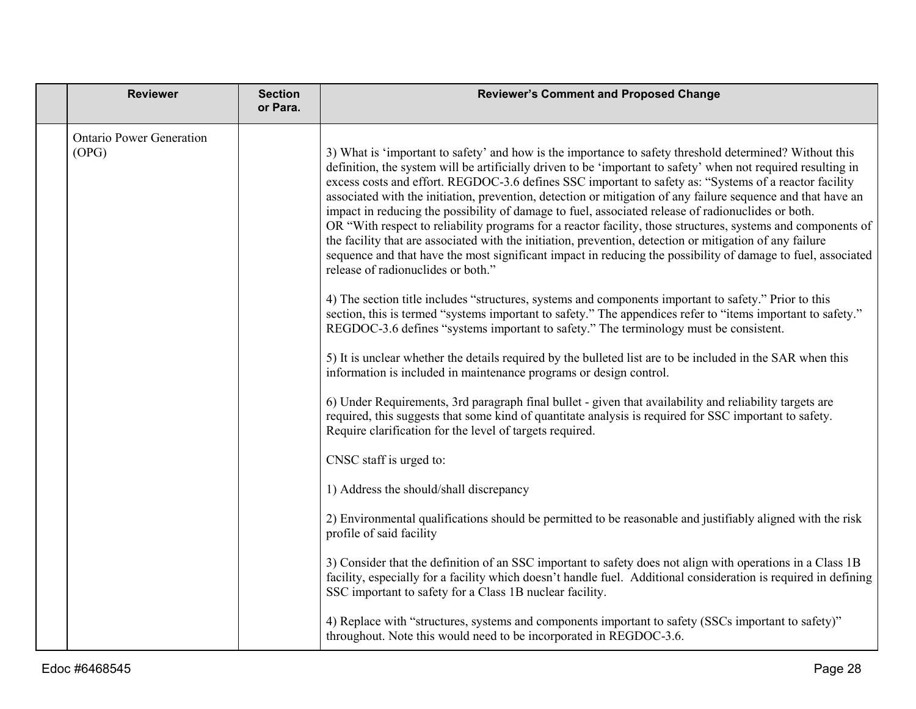| <b>Reviewer</b>                          | <b>Section</b><br>or Para. | <b>Reviewer's Comment and Proposed Change</b>                                                                                                                                                                                                                                                                                                                                                                                                                                                                                                                                                                                                                                                                                                                                                                                                                                                                                              |
|------------------------------------------|----------------------------|--------------------------------------------------------------------------------------------------------------------------------------------------------------------------------------------------------------------------------------------------------------------------------------------------------------------------------------------------------------------------------------------------------------------------------------------------------------------------------------------------------------------------------------------------------------------------------------------------------------------------------------------------------------------------------------------------------------------------------------------------------------------------------------------------------------------------------------------------------------------------------------------------------------------------------------------|
| <b>Ontario Power Generation</b><br>(OPG) |                            | 3) What is 'important to safety' and how is the importance to safety threshold determined? Without this<br>definition, the system will be artificially driven to be 'important to safety' when not required resulting in<br>excess costs and effort. REGDOC-3.6 defines SSC important to safety as: "Systems of a reactor facility<br>associated with the initiation, prevention, detection or mitigation of any failure sequence and that have an<br>impact in reducing the possibility of damage to fuel, associated release of radionuclides or both.<br>OR "With respect to reliability programs for a reactor facility, those structures, systems and components of<br>the facility that are associated with the initiation, prevention, detection or mitigation of any failure<br>sequence and that have the most significant impact in reducing the possibility of damage to fuel, associated<br>release of radionuclides or both." |
|                                          |                            | 4) The section title includes "structures, systems and components important to safety." Prior to this<br>section, this is termed "systems important to safety." The appendices refer to "items important to safety."<br>REGDOC-3.6 defines "systems important to safety." The terminology must be consistent.                                                                                                                                                                                                                                                                                                                                                                                                                                                                                                                                                                                                                              |
|                                          |                            | 5) It is unclear whether the details required by the bulleted list are to be included in the SAR when this<br>information is included in maintenance programs or design control.                                                                                                                                                                                                                                                                                                                                                                                                                                                                                                                                                                                                                                                                                                                                                           |
|                                          |                            | 6) Under Requirements, 3rd paragraph final bullet - given that availability and reliability targets are<br>required, this suggests that some kind of quantitate analysis is required for SSC important to safety.<br>Require clarification for the level of targets required.                                                                                                                                                                                                                                                                                                                                                                                                                                                                                                                                                                                                                                                              |
|                                          |                            | CNSC staff is urged to:                                                                                                                                                                                                                                                                                                                                                                                                                                                                                                                                                                                                                                                                                                                                                                                                                                                                                                                    |
|                                          |                            | 1) Address the should/shall discrepancy                                                                                                                                                                                                                                                                                                                                                                                                                                                                                                                                                                                                                                                                                                                                                                                                                                                                                                    |
|                                          |                            | 2) Environmental qualifications should be permitted to be reasonable and justifiably aligned with the risk<br>profile of said facility                                                                                                                                                                                                                                                                                                                                                                                                                                                                                                                                                                                                                                                                                                                                                                                                     |
|                                          |                            | 3) Consider that the definition of an SSC important to safety does not align with operations in a Class 1B<br>facility, especially for a facility which doesn't handle fuel. Additional consideration is required in defining<br>SSC important to safety for a Class 1B nuclear facility.                                                                                                                                                                                                                                                                                                                                                                                                                                                                                                                                                                                                                                                  |
|                                          |                            | 4) Replace with "structures, systems and components important to safety (SSCs important to safety)"<br>throughout. Note this would need to be incorporated in REGDOC-3.6.                                                                                                                                                                                                                                                                                                                                                                                                                                                                                                                                                                                                                                                                                                                                                                  |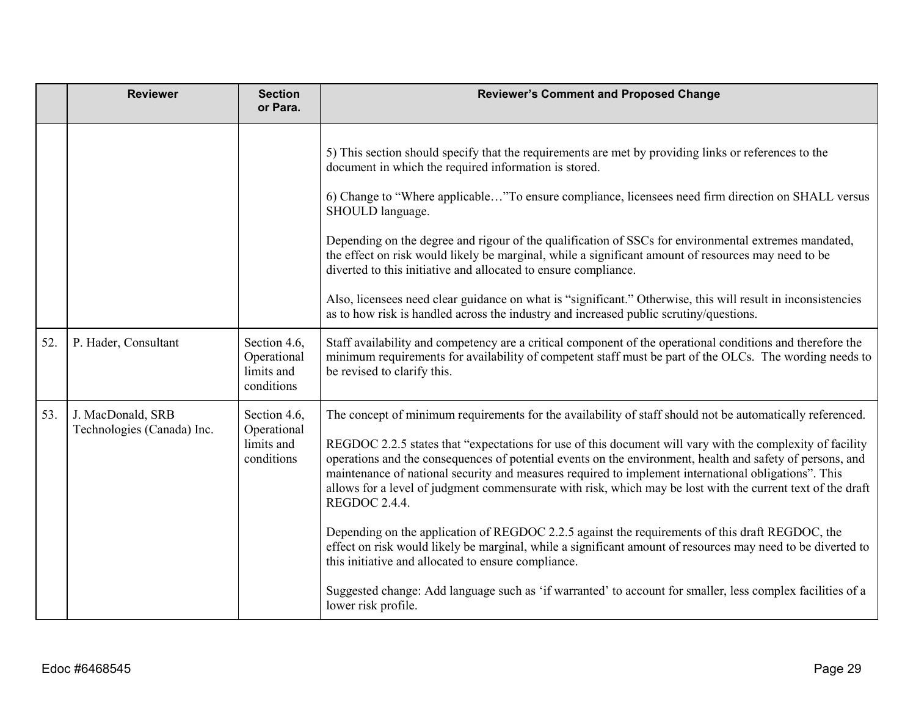| <b>Reviewer</b>                                 | <b>Section</b><br>or Para.                              | <b>Reviewer's Comment and Proposed Change</b>                                                                                                                                                                                                                                                                                                                                                                                                                                                                                                                                                                                                                                                                                                                                                                                                                                                                                                                      |
|-------------------------------------------------|---------------------------------------------------------|--------------------------------------------------------------------------------------------------------------------------------------------------------------------------------------------------------------------------------------------------------------------------------------------------------------------------------------------------------------------------------------------------------------------------------------------------------------------------------------------------------------------------------------------------------------------------------------------------------------------------------------------------------------------------------------------------------------------------------------------------------------------------------------------------------------------------------------------------------------------------------------------------------------------------------------------------------------------|
|                                                 |                                                         | 5) This section should specify that the requirements are met by providing links or references to the<br>document in which the required information is stored.<br>6) Change to "Where applicable"To ensure compliance, licensees need firm direction on SHALL versus<br>SHOULD language.<br>Depending on the degree and rigour of the qualification of SSCs for environmental extremes mandated,<br>the effect on risk would likely be marginal, while a significant amount of resources may need to be<br>diverted to this initiative and allocated to ensure compliance.<br>Also, licensees need clear guidance on what is "significant." Otherwise, this will result in inconsistencies<br>as to how risk is handled across the industry and increased public scrutiny/questions.                                                                                                                                                                                |
| P. Hader, Consultant                            | Section 4.6,<br>Operational<br>limits and<br>conditions | Staff availability and competency are a critical component of the operational conditions and therefore the<br>minimum requirements for availability of competent staff must be part of the OLCs. The wording needs to<br>be revised to clarify this.                                                                                                                                                                                                                                                                                                                                                                                                                                                                                                                                                                                                                                                                                                               |
| J. MacDonald, SRB<br>Technologies (Canada) Inc. | Section 4.6,<br>Operational<br>limits and<br>conditions | The concept of minimum requirements for the availability of staff should not be automatically referenced.<br>REGDOC 2.2.5 states that "expectations for use of this document will vary with the complexity of facility<br>operations and the consequences of potential events on the environment, health and safety of persons, and<br>maintenance of national security and measures required to implement international obligations". This<br>allows for a level of judgment commensurate with risk, which may be lost with the current text of the draft<br>REGDOC 2.4.4.<br>Depending on the application of REGDOC 2.2.5 against the requirements of this draft REGDOC, the<br>effect on risk would likely be marginal, while a significant amount of resources may need to be diverted to<br>this initiative and allocated to ensure compliance.<br>Suggested change: Add language such as 'if warranted' to account for smaller, less complex facilities of a |
|                                                 |                                                         |                                                                                                                                                                                                                                                                                                                                                                                                                                                                                                                                                                                                                                                                                                                                                                                                                                                                                                                                                                    |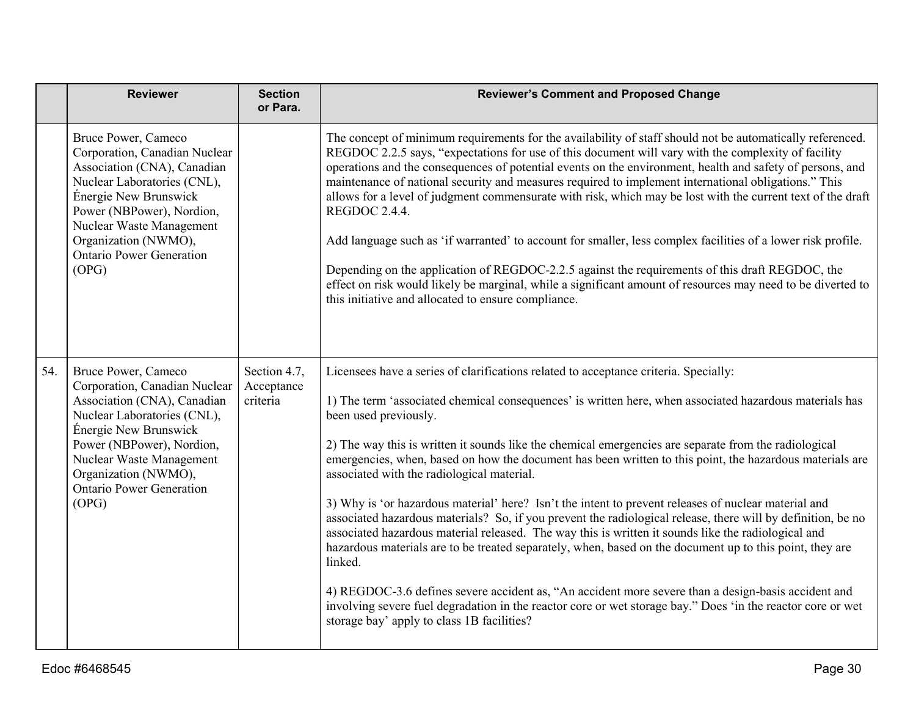|     | <b>Reviewer</b>                                                                                                                                                                                                                                                          | <b>Section</b><br>or Para.             | <b>Reviewer's Comment and Proposed Change</b>                                                                                                                                                                                                                                                                                                                                                                                                                                                                                                                                                                                                                                                                                                                                                                                                                                                                                                                                                                                                                                                                                                                                                                         |
|-----|--------------------------------------------------------------------------------------------------------------------------------------------------------------------------------------------------------------------------------------------------------------------------|----------------------------------------|-----------------------------------------------------------------------------------------------------------------------------------------------------------------------------------------------------------------------------------------------------------------------------------------------------------------------------------------------------------------------------------------------------------------------------------------------------------------------------------------------------------------------------------------------------------------------------------------------------------------------------------------------------------------------------------------------------------------------------------------------------------------------------------------------------------------------------------------------------------------------------------------------------------------------------------------------------------------------------------------------------------------------------------------------------------------------------------------------------------------------------------------------------------------------------------------------------------------------|
|     | Bruce Power, Cameco<br>Corporation, Canadian Nuclear<br>Association (CNA), Canadian<br>Nuclear Laboratories (CNL),<br>Énergie New Brunswick<br>Power (NBPower), Nordion,<br>Nuclear Waste Management<br>Organization (NWMO),<br><b>Ontario Power Generation</b><br>(OPG) |                                        | The concept of minimum requirements for the availability of staff should not be automatically referenced.<br>REGDOC 2.2.5 says, "expectations for use of this document will vary with the complexity of facility<br>operations and the consequences of potential events on the environment, health and safety of persons, and<br>maintenance of national security and measures required to implement international obligations." This<br>allows for a level of judgment commensurate with risk, which may be lost with the current text of the draft<br>REGDOC 2.4.4.<br>Add language such as 'if warranted' to account for smaller, less complex facilities of a lower risk profile.<br>Depending on the application of REGDOC-2.2.5 against the requirements of this draft REGDOC, the<br>effect on risk would likely be marginal, while a significant amount of resources may need to be diverted to<br>this initiative and allocated to ensure compliance.                                                                                                                                                                                                                                                        |
| 54. | Bruce Power, Cameco<br>Corporation, Canadian Nuclear<br>Association (CNA), Canadian<br>Nuclear Laboratories (CNL),<br>Énergie New Brunswick<br>Power (NBPower), Nordion,<br>Nuclear Waste Management<br>Organization (NWMO),<br><b>Ontario Power Generation</b><br>(OPG) | Section 4.7,<br>Acceptance<br>criteria | Licensees have a series of clarifications related to acceptance criteria. Specially:<br>1) The term 'associated chemical consequences' is written here, when associated hazardous materials has<br>been used previously.<br>2) The way this is written it sounds like the chemical emergencies are separate from the radiological<br>emergencies, when, based on how the document has been written to this point, the hazardous materials are<br>associated with the radiological material.<br>3) Why is 'or hazardous material' here? Isn't the intent to prevent releases of nuclear material and<br>associated hazardous materials? So, if you prevent the radiological release, there will by definition, be no<br>associated hazardous material released. The way this is written it sounds like the radiological and<br>hazardous materials are to be treated separately, when, based on the document up to this point, they are<br>linked.<br>4) REGDOC-3.6 defines severe accident as, "An accident more severe than a design-basis accident and<br>involving severe fuel degradation in the reactor core or wet storage bay." Does 'in the reactor core or wet<br>storage bay' apply to class 1B facilities? |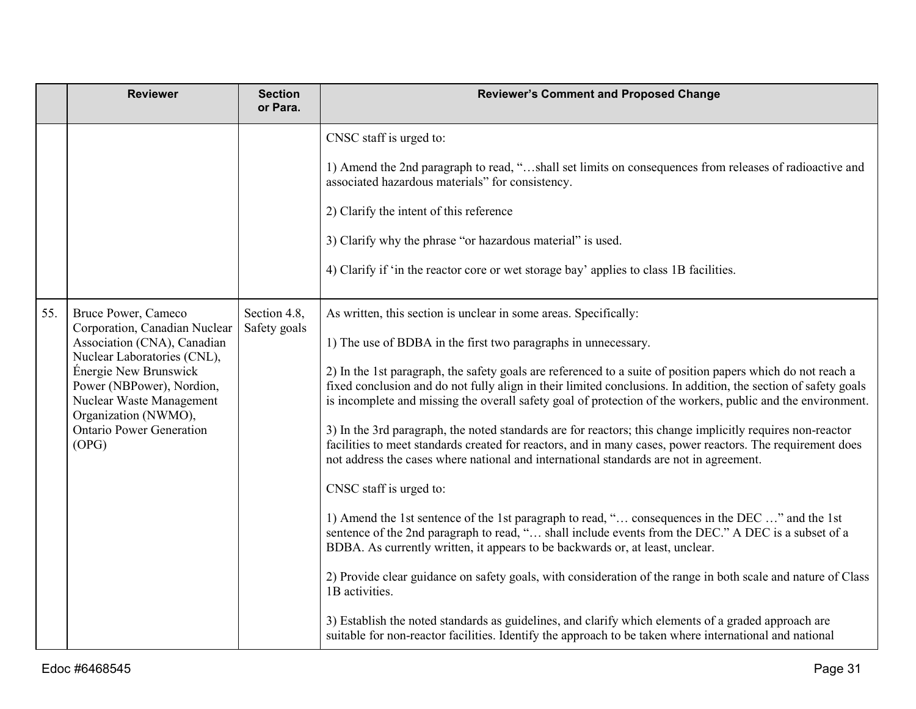|     | <b>Reviewer</b>                                                                                                                                                                                                                                                          | <b>Section</b><br>or Para.   | <b>Reviewer's Comment and Proposed Change</b>                                                                                                                                                                                                                                                                                                                                                                                                                                                                                                                                                                                                                                                                                                                                                                                                                                                                                                                                                                                                                                                                                                                                                                                                                                                                                                                                                                                                                                      |
|-----|--------------------------------------------------------------------------------------------------------------------------------------------------------------------------------------------------------------------------------------------------------------------------|------------------------------|------------------------------------------------------------------------------------------------------------------------------------------------------------------------------------------------------------------------------------------------------------------------------------------------------------------------------------------------------------------------------------------------------------------------------------------------------------------------------------------------------------------------------------------------------------------------------------------------------------------------------------------------------------------------------------------------------------------------------------------------------------------------------------------------------------------------------------------------------------------------------------------------------------------------------------------------------------------------------------------------------------------------------------------------------------------------------------------------------------------------------------------------------------------------------------------------------------------------------------------------------------------------------------------------------------------------------------------------------------------------------------------------------------------------------------------------------------------------------------|
|     |                                                                                                                                                                                                                                                                          |                              | CNSC staff is urged to:<br>1) Amend the 2nd paragraph to read, "shall set limits on consequences from releases of radioactive and<br>associated hazardous materials" for consistency.<br>2) Clarify the intent of this reference<br>3) Clarify why the phrase "or hazardous material" is used.<br>4) Clarify if 'in the reactor core or wet storage bay' applies to class 1B facilities.                                                                                                                                                                                                                                                                                                                                                                                                                                                                                                                                                                                                                                                                                                                                                                                                                                                                                                                                                                                                                                                                                           |
| 55. | Bruce Power, Cameco<br>Corporation, Canadian Nuclear<br>Association (CNA), Canadian<br>Nuclear Laboratories (CNL),<br>Énergie New Brunswick<br>Power (NBPower), Nordion,<br>Nuclear Waste Management<br>Organization (NWMO),<br><b>Ontario Power Generation</b><br>(OPG) | Section 4.8,<br>Safety goals | As written, this section is unclear in some areas. Specifically:<br>1) The use of BDBA in the first two paragraphs in unnecessary.<br>2) In the 1st paragraph, the safety goals are referenced to a suite of position papers which do not reach a<br>fixed conclusion and do not fully align in their limited conclusions. In addition, the section of safety goals<br>is incomplete and missing the overall safety goal of protection of the workers, public and the environment.<br>3) In the 3rd paragraph, the noted standards are for reactors; this change implicitly requires non-reactor<br>facilities to meet standards created for reactors, and in many cases, power reactors. The requirement does<br>not address the cases where national and international standards are not in agreement.<br>CNSC staff is urged to:<br>1) Amend the 1st sentence of the 1st paragraph to read, " consequences in the DEC " and the 1st<br>sentence of the 2nd paragraph to read, " shall include events from the DEC." A DEC is a subset of a<br>BDBA. As currently written, it appears to be backwards or, at least, unclear.<br>2) Provide clear guidance on safety goals, with consideration of the range in both scale and nature of Class<br>1B activities.<br>3) Establish the noted standards as guidelines, and clarify which elements of a graded approach are<br>suitable for non-reactor facilities. Identify the approach to be taken where international and national |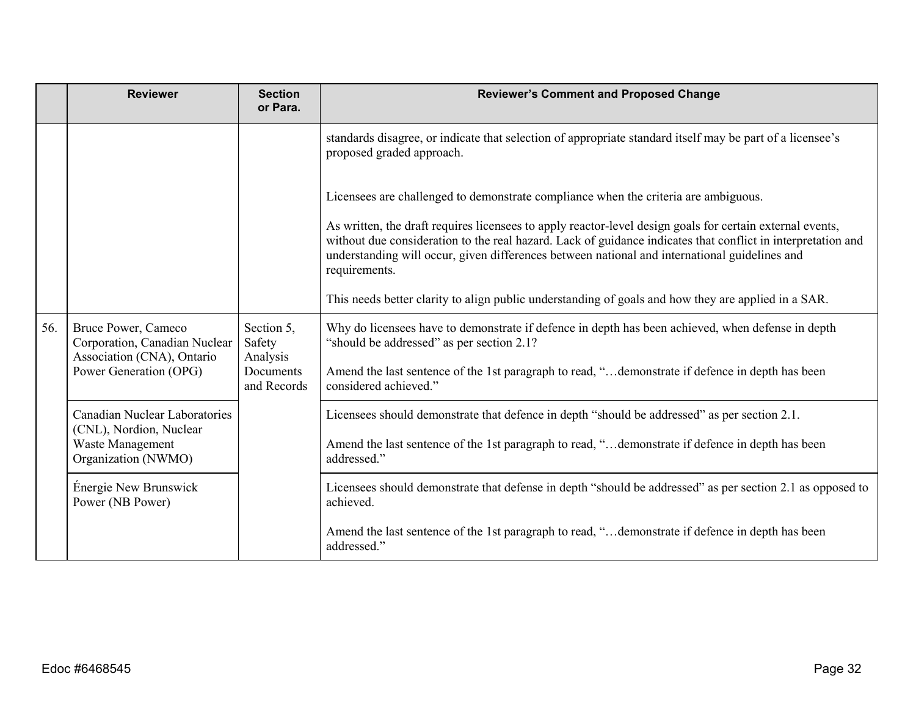|     | <b>Reviewer</b>                                                                    | <b>Section</b><br>or Para.       | <b>Reviewer's Comment and Proposed Change</b>                                                                                                                                                                                                                                                                                               |
|-----|------------------------------------------------------------------------------------|----------------------------------|---------------------------------------------------------------------------------------------------------------------------------------------------------------------------------------------------------------------------------------------------------------------------------------------------------------------------------------------|
|     |                                                                                    |                                  | standards disagree, or indicate that selection of appropriate standard itself may be part of a licensee's<br>proposed graded approach.                                                                                                                                                                                                      |
|     |                                                                                    |                                  | Licensees are challenged to demonstrate compliance when the criteria are ambiguous.                                                                                                                                                                                                                                                         |
|     |                                                                                    |                                  | As written, the draft requires licensees to apply reactor-level design goals for certain external events,<br>without due consideration to the real hazard. Lack of guidance indicates that conflict in interpretation and<br>understanding will occur, given differences between national and international guidelines and<br>requirements. |
|     |                                                                                    |                                  | This needs better clarity to align public understanding of goals and how they are applied in a SAR.                                                                                                                                                                                                                                         |
| 56. | Bruce Power, Cameco<br>Corporation, Canadian Nuclear<br>Association (CNA), Ontario | Section 5,<br>Safety<br>Analysis | Why do licensees have to demonstrate if defence in depth has been achieved, when defense in depth<br>"should be addressed" as per section 2.1?                                                                                                                                                                                              |
|     | Power Generation (OPG)                                                             | Documents<br>and Records         | Amend the last sentence of the 1st paragraph to read, "demonstrate if defence in depth has been<br>considered achieved."                                                                                                                                                                                                                    |
|     | <b>Canadian Nuclear Laboratories</b><br>(CNL), Nordion, Nuclear                    |                                  | Licensees should demonstrate that defence in depth "should be addressed" as per section 2.1.                                                                                                                                                                                                                                                |
|     | Waste Management<br>Organization (NWMO)                                            |                                  | Amend the last sentence of the 1st paragraph to read, "demonstrate if defence in depth has been<br>addressed."                                                                                                                                                                                                                              |
|     | Énergie New Brunswick<br>Power (NB Power)                                          |                                  | Licensees should demonstrate that defense in depth "should be addressed" as per section 2.1 as opposed to<br>achieved.                                                                                                                                                                                                                      |
|     |                                                                                    |                                  | Amend the last sentence of the 1st paragraph to read, "demonstrate if defence in depth has been<br>addressed."                                                                                                                                                                                                                              |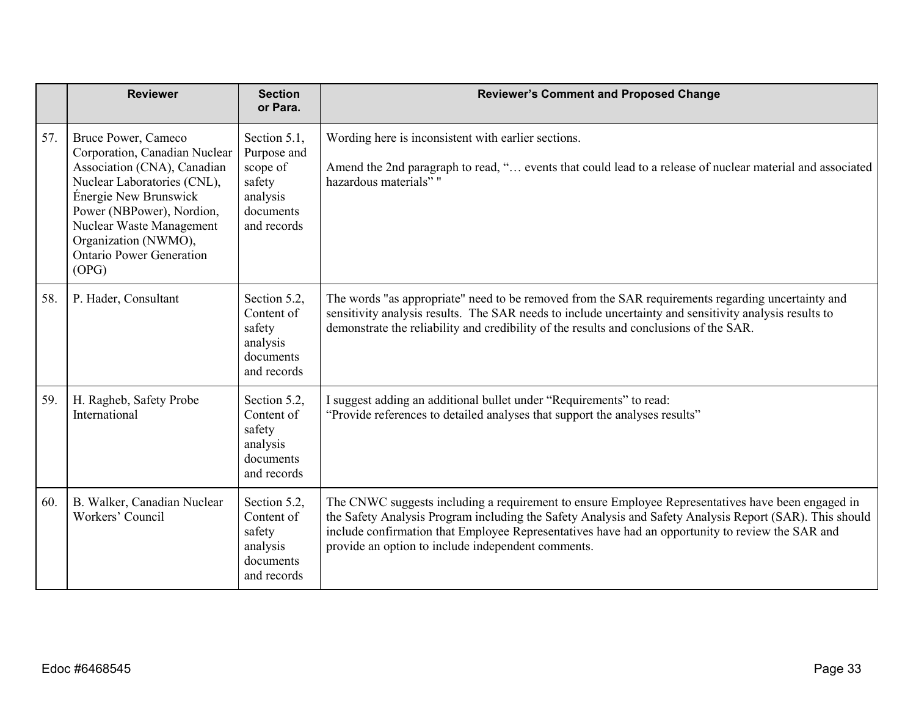|     | <b>Reviewer</b>                                                                                                                                                                                                                                                          | <b>Section</b><br>or Para.                                                                | <b>Reviewer's Comment and Proposed Change</b>                                                                                                                                                                                                                                                                                                                          |
|-----|--------------------------------------------------------------------------------------------------------------------------------------------------------------------------------------------------------------------------------------------------------------------------|-------------------------------------------------------------------------------------------|------------------------------------------------------------------------------------------------------------------------------------------------------------------------------------------------------------------------------------------------------------------------------------------------------------------------------------------------------------------------|
| 57. | Bruce Power, Cameco<br>Corporation, Canadian Nuclear<br>Association (CNA), Canadian<br>Nuclear Laboratories (CNL),<br>Énergie New Brunswick<br>Power (NBPower), Nordion,<br>Nuclear Waste Management<br>Organization (NWMO),<br><b>Ontario Power Generation</b><br>(OPG) | Section 5.1,<br>Purpose and<br>scope of<br>safety<br>analysis<br>documents<br>and records | Wording here is inconsistent with earlier sections.<br>Amend the 2nd paragraph to read, " events that could lead to a release of nuclear material and associated<br>hazardous materials" "                                                                                                                                                                             |
| 58. | P. Hader, Consultant                                                                                                                                                                                                                                                     | Section 5.2,<br>Content of<br>safety<br>analysis<br>documents<br>and records              | The words "as appropriate" need to be removed from the SAR requirements regarding uncertainty and<br>sensitivity analysis results. The SAR needs to include uncertainty and sensitivity analysis results to<br>demonstrate the reliability and credibility of the results and conclusions of the SAR.                                                                  |
| 59. | H. Ragheb, Safety Probe<br>International                                                                                                                                                                                                                                 | Section 5.2,<br>Content of<br>safety<br>analysis<br>documents<br>and records              | I suggest adding an additional bullet under "Requirements" to read:<br>"Provide references to detailed analyses that support the analyses results"                                                                                                                                                                                                                     |
| 60. | B. Walker, Canadian Nuclear<br>Workers' Council                                                                                                                                                                                                                          | Section 5.2,<br>Content of<br>safety<br>analysis<br>documents<br>and records              | The CNWC suggests including a requirement to ensure Employee Representatives have been engaged in<br>the Safety Analysis Program including the Safety Analysis and Safety Analysis Report (SAR). This should<br>include confirmation that Employee Representatives have had an opportunity to review the SAR and<br>provide an option to include independent comments. |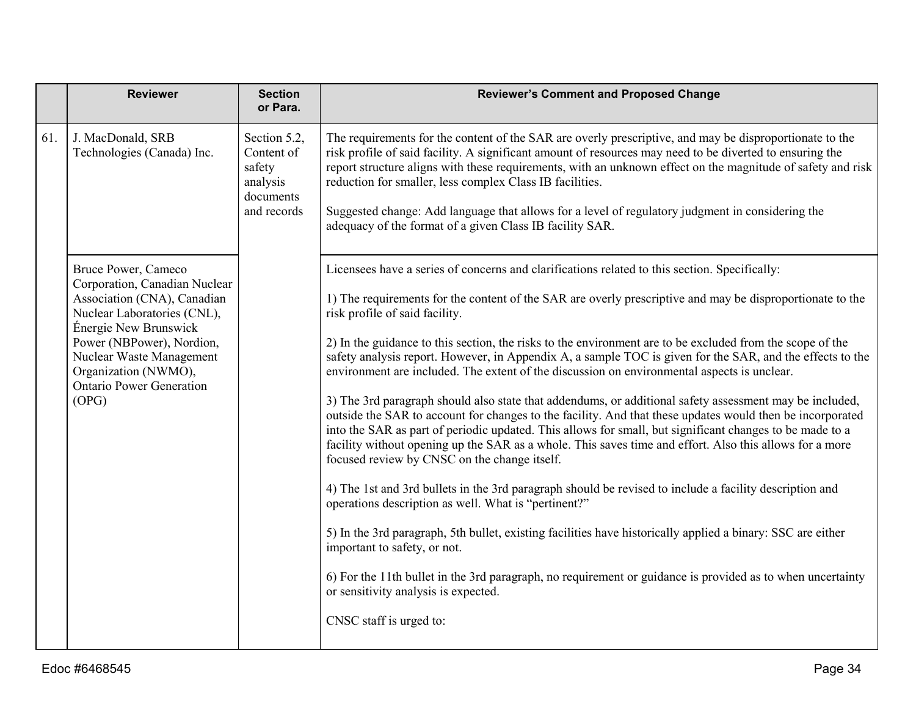|     | <b>Reviewer</b>                                                                                                                                                                                                                                                          | <b>Section</b><br>or Para.                                                   | <b>Reviewer's Comment and Proposed Change</b>                                                                                                                                                                                                                                                                                                                                                                                                                                                                                                                                                                                                                                                                                                                                                                                                                                                                                                                                                                                                                                                                                                                                                                                                                                                                                                                                                                                                                                                                                                                           |
|-----|--------------------------------------------------------------------------------------------------------------------------------------------------------------------------------------------------------------------------------------------------------------------------|------------------------------------------------------------------------------|-------------------------------------------------------------------------------------------------------------------------------------------------------------------------------------------------------------------------------------------------------------------------------------------------------------------------------------------------------------------------------------------------------------------------------------------------------------------------------------------------------------------------------------------------------------------------------------------------------------------------------------------------------------------------------------------------------------------------------------------------------------------------------------------------------------------------------------------------------------------------------------------------------------------------------------------------------------------------------------------------------------------------------------------------------------------------------------------------------------------------------------------------------------------------------------------------------------------------------------------------------------------------------------------------------------------------------------------------------------------------------------------------------------------------------------------------------------------------------------------------------------------------------------------------------------------------|
| 61. | J. MacDonald, SRB<br>Technologies (Canada) Inc.                                                                                                                                                                                                                          | Section 5.2,<br>Content of<br>safety<br>analysis<br>documents<br>and records | The requirements for the content of the SAR are overly prescriptive, and may be disproportionate to the<br>risk profile of said facility. A significant amount of resources may need to be diverted to ensuring the<br>report structure aligns with these requirements, with an unknown effect on the magnitude of safety and risk<br>reduction for smaller, less complex Class IB facilities.<br>Suggested change: Add language that allows for a level of regulatory judgment in considering the<br>adequacy of the format of a given Class IB facility SAR.                                                                                                                                                                                                                                                                                                                                                                                                                                                                                                                                                                                                                                                                                                                                                                                                                                                                                                                                                                                                          |
|     | Bruce Power, Cameco<br>Corporation, Canadian Nuclear<br>Association (CNA), Canadian<br>Nuclear Laboratories (CNL),<br>Énergie New Brunswick<br>Power (NBPower), Nordion,<br>Nuclear Waste Management<br>Organization (NWMO),<br><b>Ontario Power Generation</b><br>(OPG) |                                                                              | Licensees have a series of concerns and clarifications related to this section. Specifically:<br>1) The requirements for the content of the SAR are overly prescriptive and may be disproportionate to the<br>risk profile of said facility.<br>2) In the guidance to this section, the risks to the environment are to be excluded from the scope of the<br>safety analysis report. However, in Appendix A, a sample TOC is given for the SAR, and the effects to the<br>environment are included. The extent of the discussion on environmental aspects is unclear.<br>3) The 3rd paragraph should also state that addendums, or additional safety assessment may be included,<br>outside the SAR to account for changes to the facility. And that these updates would then be incorporated<br>into the SAR as part of periodic updated. This allows for small, but significant changes to be made to a<br>facility without opening up the SAR as a whole. This saves time and effort. Also this allows for a more<br>focused review by CNSC on the change itself.<br>4) The 1st and 3rd bullets in the 3rd paragraph should be revised to include a facility description and<br>operations description as well. What is "pertinent?"<br>5) In the 3rd paragraph, 5th bullet, existing facilities have historically applied a binary: SSC are either<br>important to safety, or not.<br>6) For the 11th bullet in the 3rd paragraph, no requirement or guidance is provided as to when uncertainty<br>or sensitivity analysis is expected.<br>CNSC staff is urged to: |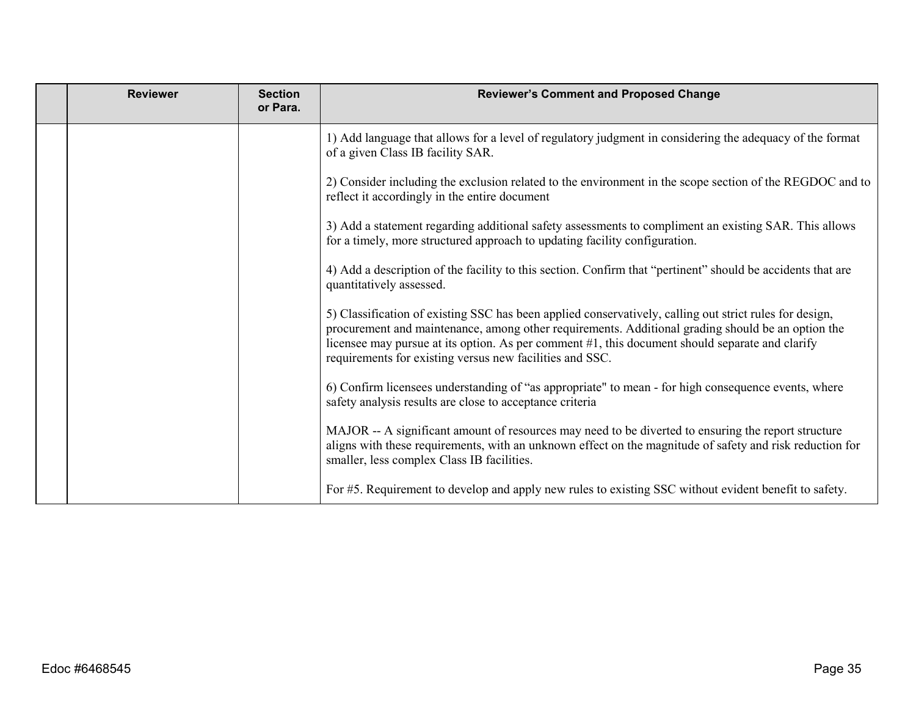| <b>Reviewer</b> | <b>Section</b><br>or Para. | <b>Reviewer's Comment and Proposed Change</b>                                                                                                                                                                                                                                                                                                                               |
|-----------------|----------------------------|-----------------------------------------------------------------------------------------------------------------------------------------------------------------------------------------------------------------------------------------------------------------------------------------------------------------------------------------------------------------------------|
|                 |                            | 1) Add language that allows for a level of regulatory judgment in considering the adequacy of the format<br>of a given Class IB facility SAR.                                                                                                                                                                                                                               |
|                 |                            | 2) Consider including the exclusion related to the environment in the scope section of the REGDOC and to<br>reflect it accordingly in the entire document                                                                                                                                                                                                                   |
|                 |                            | 3) Add a statement regarding additional safety assessments to compliment an existing SAR. This allows<br>for a timely, more structured approach to updating facility configuration.                                                                                                                                                                                         |
|                 |                            | 4) Add a description of the facility to this section. Confirm that "pertinent" should be accidents that are<br>quantitatively assessed.                                                                                                                                                                                                                                     |
|                 |                            | 5) Classification of existing SSC has been applied conservatively, calling out strict rules for design,<br>procurement and maintenance, among other requirements. Additional grading should be an option the<br>licensee may pursue at its option. As per comment #1, this document should separate and clarify<br>requirements for existing versus new facilities and SSC. |
|                 |                            | 6) Confirm licensees understanding of "as appropriate" to mean - for high consequence events, where<br>safety analysis results are close to acceptance criteria                                                                                                                                                                                                             |
|                 |                            | MAJOR -- A significant amount of resources may need to be diverted to ensuring the report structure<br>aligns with these requirements, with an unknown effect on the magnitude of safety and risk reduction for<br>smaller, less complex Class IB facilities.                                                                                                               |
|                 |                            | For #5. Requirement to develop and apply new rules to existing SSC without evident benefit to safety.                                                                                                                                                                                                                                                                       |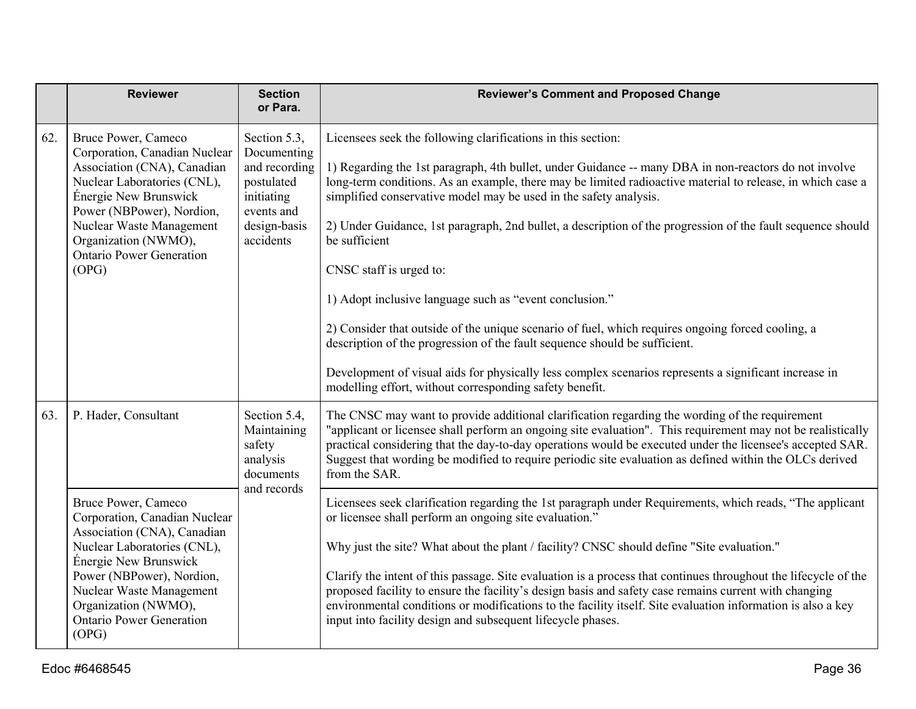|     | <b>Reviewer</b>                                                                                                                                                                                                                                                          | <b>Section</b><br>or Para.                                                                                          | <b>Reviewer's Comment and Proposed Change</b>                                                                                                                                                                                                                                                                                                                                                                                                                                                                                                                                                                                                                                                                                                                                                                                                                                                                                         |
|-----|--------------------------------------------------------------------------------------------------------------------------------------------------------------------------------------------------------------------------------------------------------------------------|---------------------------------------------------------------------------------------------------------------------|---------------------------------------------------------------------------------------------------------------------------------------------------------------------------------------------------------------------------------------------------------------------------------------------------------------------------------------------------------------------------------------------------------------------------------------------------------------------------------------------------------------------------------------------------------------------------------------------------------------------------------------------------------------------------------------------------------------------------------------------------------------------------------------------------------------------------------------------------------------------------------------------------------------------------------------|
| 62. | Bruce Power, Cameco<br>Corporation, Canadian Nuclear<br>Association (CNA), Canadian<br>Nuclear Laboratories (CNL),<br>Énergie New Brunswick<br>Power (NBPower), Nordion,<br>Nuclear Waste Management<br>Organization (NWMO),<br><b>Ontario Power Generation</b><br>(OPG) | Section 5.3,<br>Documenting<br>and recording<br>postulated<br>initiating<br>events and<br>design-basis<br>accidents | Licensees seek the following clarifications in this section:<br>1) Regarding the 1st paragraph, 4th bullet, under Guidance -- many DBA in non-reactors do not involve<br>long-term conditions. As an example, there may be limited radioactive material to release, in which case a<br>simplified conservative model may be used in the safety analysis.<br>2) Under Guidance, 1st paragraph, 2nd bullet, a description of the progression of the fault sequence should<br>be sufficient<br>CNSC staff is urged to:<br>1) Adopt inclusive language such as "event conclusion."<br>2) Consider that outside of the unique scenario of fuel, which requires ongoing forced cooling, a<br>description of the progression of the fault sequence should be sufficient.<br>Development of visual aids for physically less complex scenarios represents a significant increase in<br>modelling effort, without corresponding safety benefit. |
| 63. | P. Hader, Consultant                                                                                                                                                                                                                                                     | Section 5.4,<br>Maintaining<br>safety<br>analysis<br>documents<br>and records                                       | The CNSC may want to provide additional clarification regarding the wording of the requirement<br>"applicant or licensee shall perform an ongoing site evaluation". This requirement may not be realistically<br>practical considering that the day-to-day operations would be executed under the licensee's accepted SAR.<br>Suggest that wording be modified to require periodic site evaluation as defined within the OLCs derived<br>from the SAR.                                                                                                                                                                                                                                                                                                                                                                                                                                                                                |
|     | Bruce Power, Cameco<br>Corporation, Canadian Nuclear<br>Association (CNA), Canadian<br>Nuclear Laboratories (CNL),<br>Énergie New Brunswick<br>Power (NBPower), Nordion,<br>Nuclear Waste Management<br>Organization (NWMO),<br><b>Ontario Power Generation</b><br>(OPG) |                                                                                                                     | Licensees seek clarification regarding the 1st paragraph under Requirements, which reads, "The applicant<br>or licensee shall perform an ongoing site evaluation."<br>Why just the site? What about the plant / facility? CNSC should define "Site evaluation."<br>Clarify the intent of this passage. Site evaluation is a process that continues throughout the lifecycle of the<br>proposed facility to ensure the facility's design basis and safety case remains current with changing<br>environmental conditions or modifications to the facility itself. Site evaluation information is also a key<br>input into facility design and subsequent lifecycle phases.                                                                                                                                                                                                                                                             |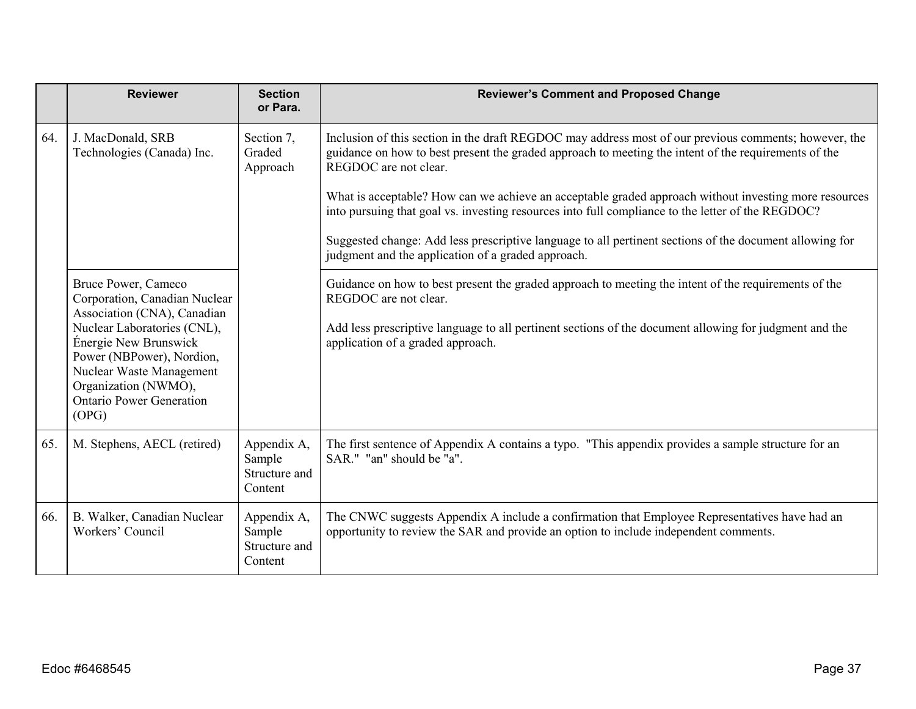|     | <b>Reviewer</b>                                                                                                                                                                   | <b>Section</b><br>or Para.                        | <b>Reviewer's Comment and Proposed Change</b>                                                                                                                                                                                          |
|-----|-----------------------------------------------------------------------------------------------------------------------------------------------------------------------------------|---------------------------------------------------|----------------------------------------------------------------------------------------------------------------------------------------------------------------------------------------------------------------------------------------|
| 64. | J. MacDonald, SRB<br>Technologies (Canada) Inc.                                                                                                                                   | Section 7,<br>Graded<br>Approach                  | Inclusion of this section in the draft REGDOC may address most of our previous comments; however, the<br>guidance on how to best present the graded approach to meeting the intent of the requirements of the<br>REGDOC are not clear. |
|     |                                                                                                                                                                                   |                                                   | What is acceptable? How can we achieve an acceptable graded approach without investing more resources<br>into pursuing that goal vs. investing resources into full compliance to the letter of the REGDOC?                             |
|     |                                                                                                                                                                                   |                                                   | Suggested change: Add less prescriptive language to all pertinent sections of the document allowing for<br>judgment and the application of a graded approach.                                                                          |
|     | Bruce Power, Cameco<br>Corporation, Canadian Nuclear<br>Association (CNA), Canadian                                                                                               |                                                   | Guidance on how to best present the graded approach to meeting the intent of the requirements of the<br>REGDOC are not clear.                                                                                                          |
|     | Nuclear Laboratories (CNL),<br>Énergie New Brunswick<br>Power (NBPower), Nordion,<br>Nuclear Waste Management<br>Organization (NWMO),<br><b>Ontario Power Generation</b><br>(OPG) |                                                   | Add less prescriptive language to all pertinent sections of the document allowing for judgment and the<br>application of a graded approach.                                                                                            |
|     |                                                                                                                                                                                   |                                                   |                                                                                                                                                                                                                                        |
| 65. | M. Stephens, AECL (retired)                                                                                                                                                       | Appendix A,<br>Sample<br>Structure and<br>Content | The first sentence of Appendix A contains a typo. "This appendix provides a sample structure for an<br>SAR." "an" should be "a".                                                                                                       |
| 66. | B. Walker, Canadian Nuclear<br>Workers' Council                                                                                                                                   | Appendix A,<br>Sample<br>Structure and<br>Content | The CNWC suggests Appendix A include a confirmation that Employee Representatives have had an<br>opportunity to review the SAR and provide an option to include independent comments.                                                  |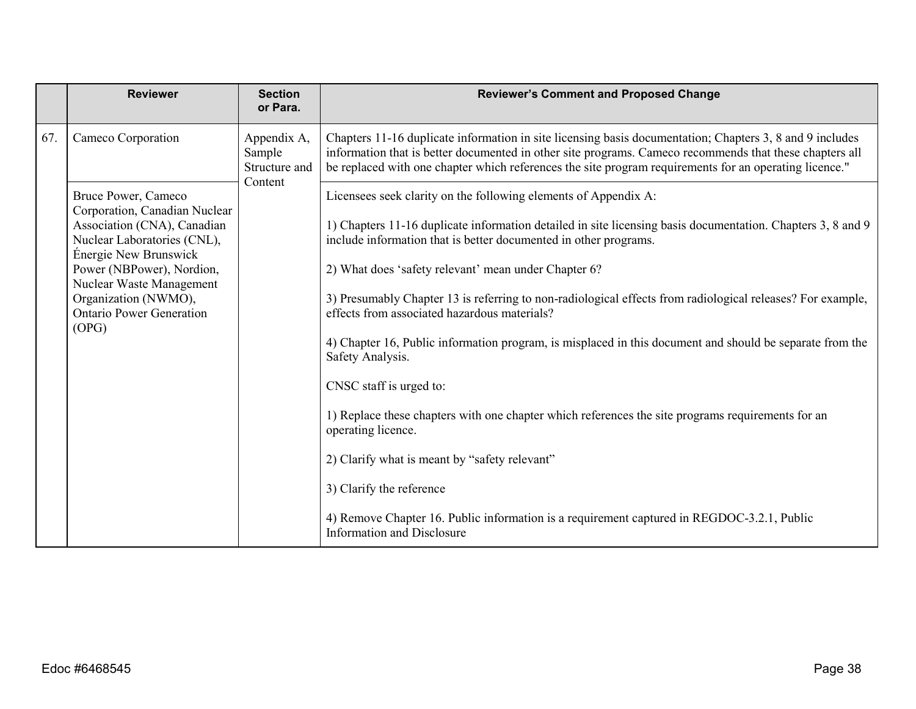|     | <b>Reviewer</b>                                                                                                      | <b>Section</b><br>or Para.                        | <b>Reviewer's Comment and Proposed Change</b>                                                                                                                                                                                                                                                                                 |
|-----|----------------------------------------------------------------------------------------------------------------------|---------------------------------------------------|-------------------------------------------------------------------------------------------------------------------------------------------------------------------------------------------------------------------------------------------------------------------------------------------------------------------------------|
| 67. | Cameco Corporation                                                                                                   | Appendix A,<br>Sample<br>Structure and<br>Content | Chapters 11-16 duplicate information in site licensing basis documentation; Chapters 3, 8 and 9 includes<br>information that is better documented in other site programs. Cameco recommends that these chapters all<br>be replaced with one chapter which references the site program requirements for an operating licence." |
|     | Bruce Power, Cameco                                                                                                  |                                                   | Licensees seek clarity on the following elements of Appendix A:                                                                                                                                                                                                                                                               |
|     | Corporation, Canadian Nuclear<br>Association (CNA), Canadian<br>Nuclear Laboratories (CNL),<br>Énergie New Brunswick |                                                   | 1) Chapters 11-16 duplicate information detailed in site licensing basis documentation. Chapters 3, 8 and 9<br>include information that is better documented in other programs.                                                                                                                                               |
|     | Power (NBPower), Nordion,                                                                                            |                                                   | 2) What does 'safety relevant' mean under Chapter 6?                                                                                                                                                                                                                                                                          |
|     | Nuclear Waste Management<br>Organization (NWMO),<br><b>Ontario Power Generation</b><br>(OPG)                         |                                                   | 3) Presumably Chapter 13 is referring to non-radiological effects from radiological releases? For example,<br>effects from associated hazardous materials?                                                                                                                                                                    |
|     |                                                                                                                      |                                                   | 4) Chapter 16, Public information program, is misplaced in this document and should be separate from the<br>Safety Analysis.                                                                                                                                                                                                  |
|     |                                                                                                                      |                                                   | CNSC staff is urged to:                                                                                                                                                                                                                                                                                                       |
|     |                                                                                                                      |                                                   | 1) Replace these chapters with one chapter which references the site programs requirements for an<br>operating licence.                                                                                                                                                                                                       |
|     |                                                                                                                      |                                                   | 2) Clarify what is meant by "safety relevant"                                                                                                                                                                                                                                                                                 |
|     |                                                                                                                      |                                                   | 3) Clarify the reference                                                                                                                                                                                                                                                                                                      |
|     |                                                                                                                      |                                                   | 4) Remove Chapter 16. Public information is a requirement captured in REGDOC-3.2.1, Public<br><b>Information and Disclosure</b>                                                                                                                                                                                               |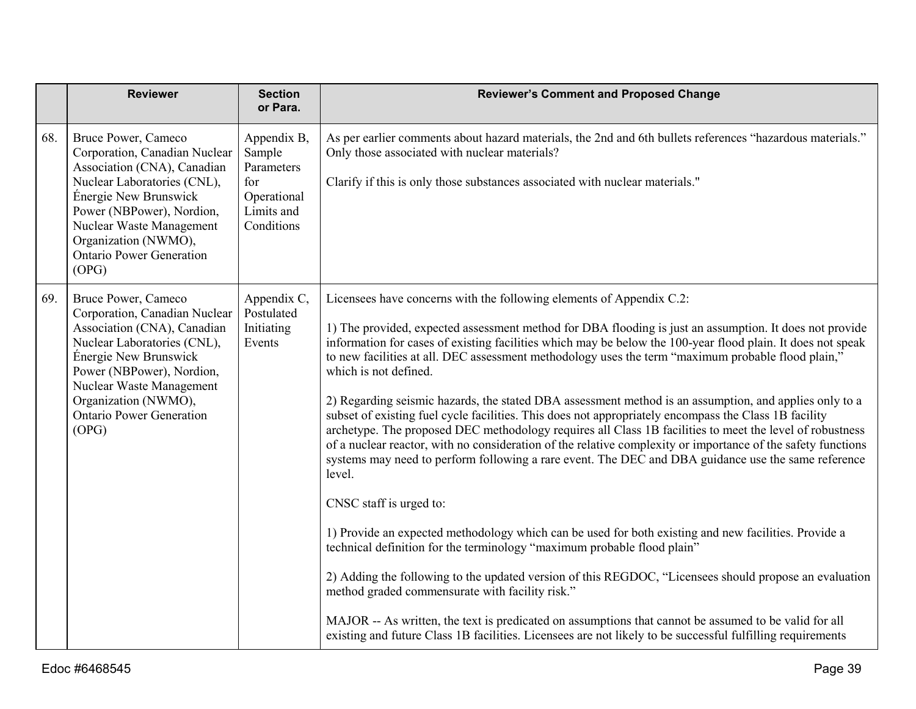|     | <b>Reviewer</b>                                                                                                                                                                                                                                                          | <b>Section</b><br>or Para.                                                            | <b>Reviewer's Comment and Proposed Change</b>                                                                                                                                                                                                                                                                                                                                                                                                                                                                                                                                                                                                                                                                                                                                                                                                                                                                                                                                                                                                                                                                                                                                                                                                                                                                                                                                                                                                                                                                                                                                                   |
|-----|--------------------------------------------------------------------------------------------------------------------------------------------------------------------------------------------------------------------------------------------------------------------------|---------------------------------------------------------------------------------------|-------------------------------------------------------------------------------------------------------------------------------------------------------------------------------------------------------------------------------------------------------------------------------------------------------------------------------------------------------------------------------------------------------------------------------------------------------------------------------------------------------------------------------------------------------------------------------------------------------------------------------------------------------------------------------------------------------------------------------------------------------------------------------------------------------------------------------------------------------------------------------------------------------------------------------------------------------------------------------------------------------------------------------------------------------------------------------------------------------------------------------------------------------------------------------------------------------------------------------------------------------------------------------------------------------------------------------------------------------------------------------------------------------------------------------------------------------------------------------------------------------------------------------------------------------------------------------------------------|
| 68. | Bruce Power, Cameco<br>Corporation, Canadian Nuclear<br>Association (CNA), Canadian<br>Nuclear Laboratories (CNL),<br>Énergie New Brunswick<br>Power (NBPower), Nordion,<br>Nuclear Waste Management<br>Organization (NWMO),<br><b>Ontario Power Generation</b><br>(OPG) | Appendix B,<br>Sample<br>Parameters<br>for<br>Operational<br>Limits and<br>Conditions | As per earlier comments about hazard materials, the 2nd and 6th bullets references "hazardous materials."<br>Only those associated with nuclear materials?<br>Clarify if this is only those substances associated with nuclear materials."                                                                                                                                                                                                                                                                                                                                                                                                                                                                                                                                                                                                                                                                                                                                                                                                                                                                                                                                                                                                                                                                                                                                                                                                                                                                                                                                                      |
| 69. | Bruce Power, Cameco<br>Corporation, Canadian Nuclear<br>Association (CNA), Canadian<br>Nuclear Laboratories (CNL),<br>Énergie New Brunswick<br>Power (NBPower), Nordion,<br>Nuclear Waste Management<br>Organization (NWMO),<br><b>Ontario Power Generation</b><br>(OPG) | Appendix C,<br>Postulated<br>Initiating<br>Events                                     | Licensees have concerns with the following elements of Appendix C.2:<br>1) The provided, expected assessment method for DBA flooding is just an assumption. It does not provide<br>information for cases of existing facilities which may be below the 100-year flood plain. It does not speak<br>to new facilities at all. DEC assessment methodology uses the term "maximum probable flood plain,"<br>which is not defined.<br>2) Regarding seismic hazards, the stated DBA assessment method is an assumption, and applies only to a<br>subset of existing fuel cycle facilities. This does not appropriately encompass the Class 1B facility<br>archetype. The proposed DEC methodology requires all Class 1B facilities to meet the level of robustness<br>of a nuclear reactor, with no consideration of the relative complexity or importance of the safety functions<br>systems may need to perform following a rare event. The DEC and DBA guidance use the same reference<br>level.<br>CNSC staff is urged to:<br>1) Provide an expected methodology which can be used for both existing and new facilities. Provide a<br>technical definition for the terminology "maximum probable flood plain"<br>2) Adding the following to the updated version of this REGDOC, "Licensees should propose an evaluation<br>method graded commensurate with facility risk."<br>MAJOR -- As written, the text is predicated on assumptions that cannot be assumed to be valid for all<br>existing and future Class 1B facilities. Licensees are not likely to be successful fulfilling requirements |